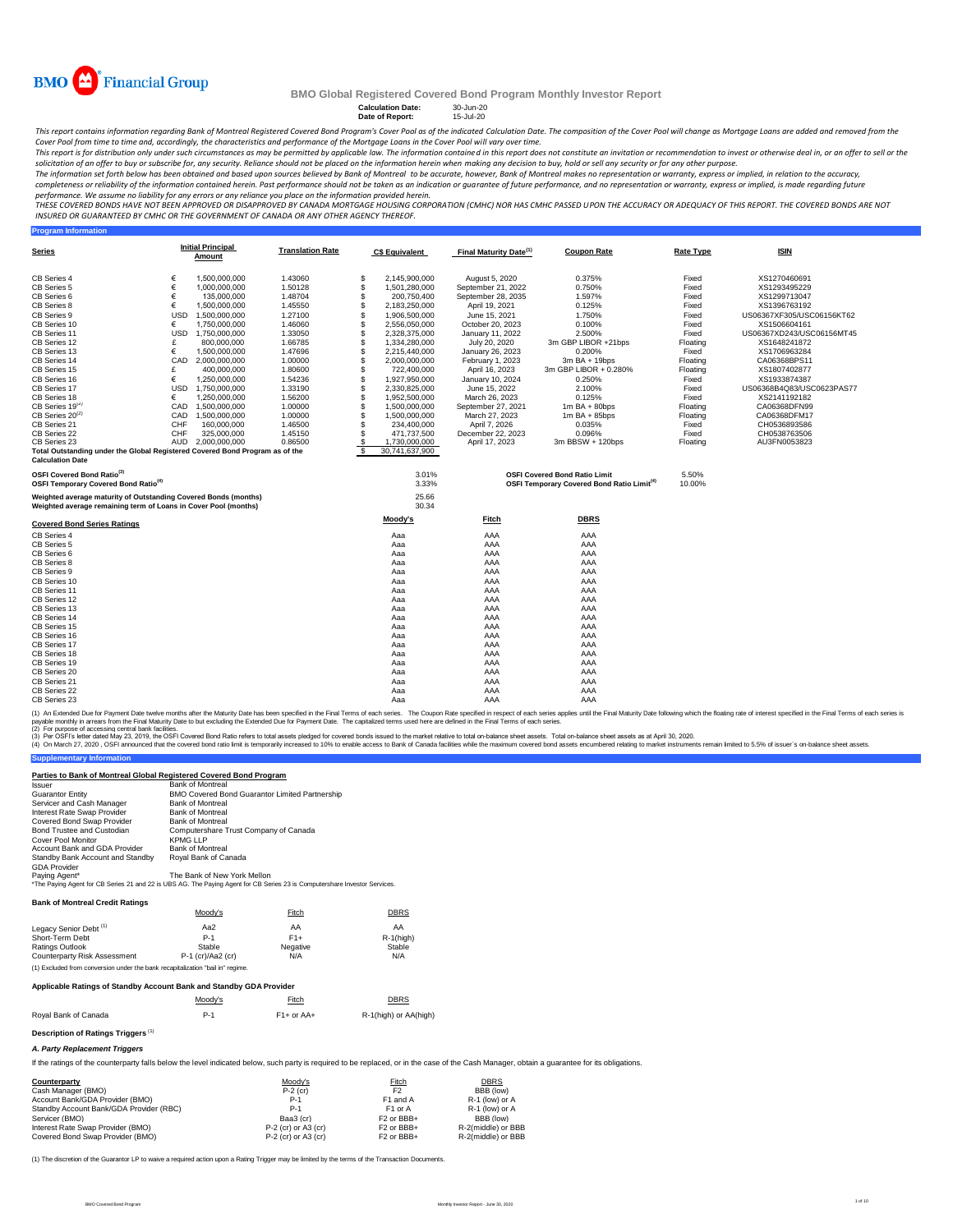

## **Calculation Date:** 30-Jun-20 **Date of Report:** 15-Jul-20

This report contains information regarding Bank of Montreal Registered Covered Bond Program's Cover Pool as of the indicated Calculation Date. The composition of the Cover Pool will change as Mortgage Loans are added and r

Cover Pool from time to time and, accordingly, the characteristics and performance of the Mortgage Loans in the Cover Pool will vary over time.<br>This report is for distribution only under such creamstances as may be permitt

solicitation of an offer to buy or subscribe for, any security. Reliance should not be placed on the information herein when making any decision to buy, hold or sell any security or for any other purpose.<br>The information s completeness or reliability of the information contained herein. Past performance should not be taken as an indication or guarantee of future performance, and no representation or warranty, express or implied, is made rega

performance. We assume no liability for any errors or any reliance you place on the information provided herein.<br>THESE COVERED BONDS HAVE NOT BEEN APPROVED BY DANGED BY CANADA MORTGAGE HOUSING CORPORATION (CMHC) NOR HAS CM *INSURED OR GUARANTEED BY CMHC OR THE GOVERNMENT OF CANADA OR ANY OTHER AGENCY THEREOF.*

| <b>Program Information</b>                                                                                                         |            |                                    |                         |                          |                       |                                    |                                                        |                  |                           |
|------------------------------------------------------------------------------------------------------------------------------------|------------|------------------------------------|-------------------------|--------------------------|-----------------------|------------------------------------|--------------------------------------------------------|------------------|---------------------------|
| <b>Series</b>                                                                                                                      |            | <b>Initial Principal</b><br>Amount | <b>Translation Rate</b> |                          | <b>C\$ Equivalent</b> | Final Maturity Date <sup>(1)</sup> | <b>Coupon Rate</b>                                     | <b>Rate Type</b> | <b>ISIN</b>               |
| CB Series 4                                                                                                                        | €          | 1,500,000,000                      | 1.43060                 | S                        | 2,145,900,000         | August 5, 2020                     | 0.375%                                                 | Fixed            | XS1270460691              |
| CB Series 5                                                                                                                        | €          | 1,000,000,000                      | 1.50128                 | S                        | 1,501,280,000         | September 21, 2022                 | 0.750%                                                 | Fixed            | XS1293495229              |
| CB Series 6                                                                                                                        | €          | 135,000,000                        | 1.48704                 | \$                       | 200.750.400           | September 28, 2035                 | 1.597%                                                 | Fixed            | XS1299713047              |
| CB Series 8                                                                                                                        | €          | 1,500,000,000                      | 1.45550                 | £.                       | 2,183,250,000         | April 19, 2021                     | 0.125%                                                 | Fixed            | XS1396763192              |
|                                                                                                                                    | <b>USD</b> | 1.500.000.000                      |                         | S                        |                       |                                    |                                                        |                  |                           |
| CB Series 9                                                                                                                        | €          |                                    | 1.27100                 | \$                       | 1,906,500,000         | June 15, 2021                      | 1.750%                                                 | Fixed            | US06367XF305/USC06156KT62 |
| CB Series 10                                                                                                                       |            | 1,750,000,000                      | 1.46060                 | \$.                      | 2,556,050,000         | October 20, 2023                   | 0.100%                                                 | Fixed            | XS1506604161              |
| CB Series 11                                                                                                                       | <b>USD</b> | 1,750,000,000                      | 1.33050                 |                          | 2,328,375,000         | January 11, 2022                   | 2.500%                                                 | Fixed            | US06367XD243/USC06156MT45 |
| CB Series 12                                                                                                                       | £          | 800,000,000                        | 1.66785                 | S                        | 1.334.280.000         | July 20, 2020                      | 3m GBP LIBOR +21bps                                    | Floating         | XS1648241872              |
| CB Series 13                                                                                                                       | €          | 1,500,000,000                      | 1.47696                 | \$                       | 2,215,440,000         | January 26, 2023                   | 0.200%                                                 | Fixed            | XS1706963284              |
| CB Series 14                                                                                                                       | CAD        | 2,000,000,000                      | 1.00000                 | \$                       | 2,000,000,000         | February 1, 2023                   | $3m$ BA + 19bps                                        | Floating         | CA06368BPS11              |
| CB Series 15                                                                                                                       | £          | 400.000.000                        | 1.80600                 | \$                       | 722,400,000           | April 16, 2023                     | 3m GBP LIBOR + 0.280%                                  | Floating         | XS1807402877              |
| CB Series 16                                                                                                                       | €          | 1.250.000.000                      | 1.54236                 | \$                       | 1,927,950,000         | January 10, 2024                   | 0.250%                                                 | Fixed            | XS1933874387              |
| CB Series 17                                                                                                                       | <b>USD</b> | 1,750,000,000                      | 1.33190                 | \$                       | 2,330,825,000         | June 15, 2022                      | 2.100%                                                 | Fixed            | US06368B4Q83/USC0623PAS77 |
| CB Series 18                                                                                                                       | €          | 1.250.000.000                      | 1.56200                 | \$                       | 1,952,500,000         | March 26, 2023                     | 0.125%                                                 | Fixed            | XS2141192182              |
| CB Series 19 <sup>(2)</sup>                                                                                                        | CAD        | 1,500,000,000                      | 1.00000                 | \$                       | 1,500,000,000         | September 27, 2021                 | $1m$ BA + 80bps                                        | Floating         | CA06368DFN99              |
| CB Series 20 <sup>(2)</sup>                                                                                                        | CAD        | 1,500,000,000                      | 1.00000                 | \$                       | 1,500,000,000         | March 27, 2023                     | $1m$ BA + 85bps                                        | Floating         | CA06368DFM17              |
| CB Series 21                                                                                                                       | CHF        | 160,000,000                        | 1.46500                 | \$                       | 234.400.000           | April 7, 2026                      | 0.035%                                                 | Fixed            | CH0536893586              |
| CB Series 22                                                                                                                       | CHF        | 325,000,000                        | 1.45150                 | \$                       | 471,737,500           | December 22, 2023                  | 0.096%                                                 | Fixed            | CH0538763506              |
| CB Series 23                                                                                                                       | <b>AUD</b> | 2.000.000.000                      | 0.86500                 | <sup>\$</sup>            | 1,730,000,000         | April 17, 2023                     | 3m BBSW + 120bps                                       | Floating         | AU3FN0053823              |
| Total Outstanding under the Global Registered Covered Bond Program as of the                                                       |            |                                    |                         | $\overline{\mathcal{S}}$ | 30,741,637,900        |                                    |                                                        |                  |                           |
| <b>Calculation Date</b>                                                                                                            |            |                                    |                         |                          |                       |                                    |                                                        |                  |                           |
| OSFI Covered Bond Ratio <sup>(3)</sup>                                                                                             |            |                                    |                         |                          | 3.01%                 |                                    | <b>OSFI Covered Bond Ratio Limit</b>                   | 5.50%            |                           |
| OSFI Temporary Covered Bond Ratio <sup>(4)</sup>                                                                                   |            |                                    |                         |                          | 3.33%                 |                                    | OSFI Temporary Covered Bond Ratio Limit <sup>(4)</sup> | 10.00%           |                           |
| Weighted average maturity of Outstanding Covered Bonds (months)<br>Weighted average remaining term of Loans in Cover Pool (months) |            |                                    |                         |                          | 25.66<br>30.34        |                                    |                                                        |                  |                           |
| <b>Covered Bond Series Ratings</b>                                                                                                 |            |                                    |                         |                          | Moody's               | <u>Fitch</u>                       | <b>DBRS</b>                                            |                  |                           |
| CB Series 4                                                                                                                        |            |                                    |                         |                          | Aaa                   | AAA                                | AAA                                                    |                  |                           |
| CB Series 5                                                                                                                        |            |                                    |                         |                          | Aaa                   | AAA                                | AAA                                                    |                  |                           |
| CB Series 6                                                                                                                        |            |                                    |                         |                          | Aaa                   | AAA                                | AAA                                                    |                  |                           |
| CB Series 8                                                                                                                        |            |                                    |                         |                          | Aaa                   | AAA                                | AAA                                                    |                  |                           |
| CB Series 9                                                                                                                        |            |                                    |                         |                          | Aaa                   | AAA                                | AAA                                                    |                  |                           |
| CB Series 10                                                                                                                       |            |                                    |                         |                          | Aaa                   | AAA                                | AAA                                                    |                  |                           |
| CB Series 11                                                                                                                       |            |                                    |                         |                          | Aaa                   | AAA                                | AAA                                                    |                  |                           |
| CB Series 12                                                                                                                       |            |                                    |                         |                          | Aaa                   | AAA                                | AAA                                                    |                  |                           |
| CB Series 13                                                                                                                       |            |                                    |                         |                          | Aaa                   | AAA                                | AAA                                                    |                  |                           |
| CB Series 14                                                                                                                       |            |                                    |                         |                          | Aaa                   | AAA                                | AAA                                                    |                  |                           |
| CB Series 15                                                                                                                       |            |                                    |                         |                          | Aaa                   | AAA                                | AAA                                                    |                  |                           |
| CB Series 16                                                                                                                       |            |                                    |                         |                          | Aaa                   | AAA                                | AAA                                                    |                  |                           |
| CB Series 17                                                                                                                       |            |                                    |                         |                          | Aaa                   | AAA                                | AAA                                                    |                  |                           |
| CB Series 18                                                                                                                       |            |                                    |                         |                          |                       | AAA                                |                                                        |                  |                           |
|                                                                                                                                    |            |                                    |                         |                          | Aaa                   |                                    | AAA                                                    |                  |                           |
| CB Series 19                                                                                                                       |            |                                    |                         |                          | Aaa                   | AAA                                | AAA                                                    |                  |                           |
| CB Series 20                                                                                                                       |            |                                    |                         |                          | Aaa                   | AAA                                | AAA                                                    |                  |                           |
| CB Series 21                                                                                                                       |            |                                    |                         |                          | Aaa                   | AAA                                | AAA                                                    |                  |                           |
| CB Series 22                                                                                                                       |            |                                    |                         |                          | Aaa                   | AAA                                | AAA                                                    |                  |                           |
| CB Series 23                                                                                                                       |            |                                    |                         |                          | Aaa                   | AAA                                | AAA                                                    |                  |                           |

(2) For purpose of accessing central bank facilities. (1) An Extended Due for Payment Date twelve months after the Maturity Date has been specified in the Final of each series. The Coupon Rate specified in the Final Tems of each series is<br>payable monthy in arrears from the Fi

(3) Per OSFIs etter atted May 23, 2019, the OSFI Covered bond ratio refers to total assets pledged for covered bond issued to the market relative to tala moses to bank of Canada facilities while the maximum covered bond as

**Supplementary Information** 

### **Parties to Bank of Montreal Global Registered Covered Bond Program**

| ו שטרוט שטוות טו וווטוונוסטו טוטטטו ולטוסטוס טענטווווט ווי טאווי |                                                                                                                           |
|------------------------------------------------------------------|---------------------------------------------------------------------------------------------------------------------------|
| <b>Issuer</b>                                                    | <b>Bank of Montreal</b>                                                                                                   |
| <b>Guarantor Entity</b>                                          | BMO Covered Bond Guarantor Limited Partnership                                                                            |
| Servicer and Cash Manager                                        | <b>Bank of Montreal</b>                                                                                                   |
| Interest Rate Swap Provider                                      | <b>Bank of Montreal</b>                                                                                                   |
| Covered Bond Swap Provider                                       | <b>Bank of Montreal</b>                                                                                                   |
| Bond Trustee and Custodian                                       | Computershare Trust Company of Canada                                                                                     |
| Cover Pool Monitor                                               | <b>KPMG LLP</b>                                                                                                           |
| Account Bank and GDA Provider                                    | <b>Bank of Montreal</b>                                                                                                   |
| Standby Bank Account and Standby                                 | Roval Bank of Canada                                                                                                      |
| <b>GDA Provider</b>                                              |                                                                                                                           |
| Paying Agent*                                                    | The Bank of New York Mellon                                                                                               |
|                                                                  | *The Paying Agent for CB Series 21 and 22 is UBS AG. The Paying Agent for CB Series 23 is Computershare Investor Services |

#### **Bank of Montreal Credit Ratings**

|                                                                                | Moody's             | Fitch    | <b>DBRS</b>  |
|--------------------------------------------------------------------------------|---------------------|----------|--------------|
| Legacy Senior Debt <sup>(1)</sup>                                              | Aa2                 | AA       | AA           |
| Short-Term Debt                                                                | $P-1$               | $F1+$    | $R-1$ (high) |
| Ratings Outlook                                                                | Stable              | Negative | Stable       |
| <b>Counterparty Risk Assessment</b>                                            | $P-1$ (cr)/Aa2 (cr) | N/A      | N/A          |
| (1) Excluded from conversion under the bank recapitalization "bail in" regime. |                     |          |              |

### **Applicable Ratings of Standby Account Bank and Standby GDA Provider**

|                      | Moodv's | Fitch        | DBRS                  |
|----------------------|---------|--------------|-----------------------|
| Roval Bank of Canada | P-1     | $F1+$ or AA+ | R-1(high) or AA(high) |

# **Description of Ratings Triggers** (1)

*A. Party Replacement Triggers*

If the ratings of the counterparty falls below the level indicated below, such party is required to be replaced, or in the case of the Cash Manager, obtain a quarantee for its obligations.

| Counterparty                            | Moody's               | Fitch                             | <b>DBRS</b>        |
|-----------------------------------------|-----------------------|-----------------------------------|--------------------|
| Cash Manager (BMO)                      | $P-2$ (cr)            | F <sub>2</sub>                    | BBB (low)          |
| Account Bank/GDA Provider (BMO)         | $P-1$                 | F1 and A                          | R-1 (low) or A     |
| Standby Account Bank/GDA Provider (RBC) | $P-1$                 | F <sub>1</sub> or A               | R-1 (low) or A     |
| Servicer (BMO)                          | Baa3 (cr)             | F <sub>2</sub> or BB <sub>+</sub> | BBB (low)          |
| Interest Rate Swap Provider (BMO)       | $P-2$ (cr) or A3 (cr) | F <sub>2</sub> or BB <sub>+</sub> | R-2(middle) or BBB |
| Covered Bond Swap Provider (BMO)        | $P-2$ (cr) or A3 (cr) | F <sub>2</sub> or BBB+            | R-2(middle) or BBB |

(1) The discretion of the Guarantor LP to waive a required action upon a Rating Trigger may be limited by the terms of the Transaction Documents.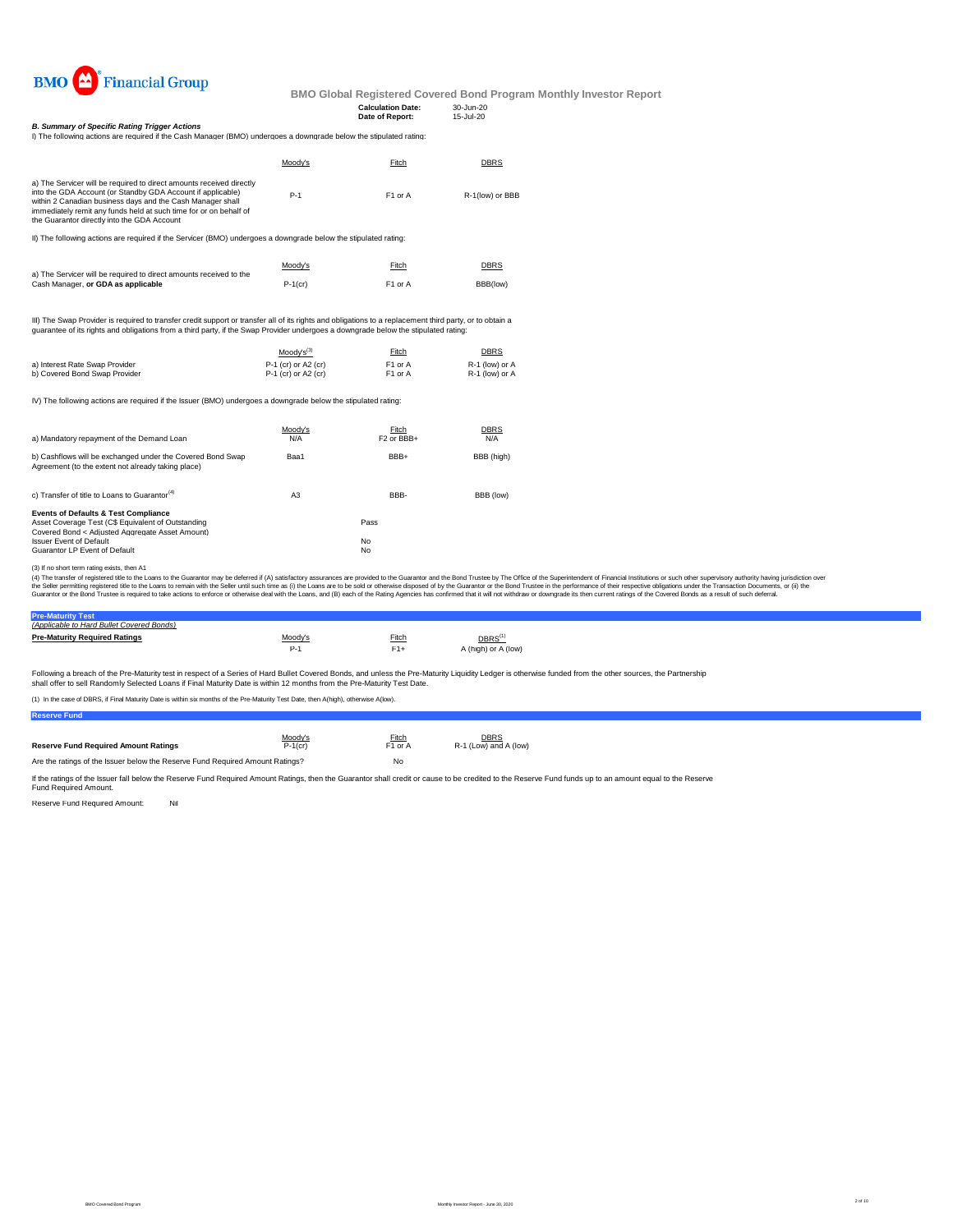

| <b>Calculation Date:</b> | 30-Jun-20 |
|--------------------------|-----------|
| Date of Report:          | 15-Jul-20 |

*B. Summary of Specific Rating Trigger Actions***<br>I) The following actions are required if the Cash Manager (BMO) undergoes a downgrade below the stipulated rating:** 

|                                                                                                                                                                                                                                                                                                                       | Moody's | Fitch               | <b>DBRS</b>     |
|-----------------------------------------------------------------------------------------------------------------------------------------------------------------------------------------------------------------------------------------------------------------------------------------------------------------------|---------|---------------------|-----------------|
| a) The Servicer will be required to direct amounts received directly<br>into the GDA Account (or Standby GDA Account if applicable)<br>within 2 Canadian business days and the Cash Manager shall<br>immediately remit any funds held at such time for or on behalf of<br>the Guarantor directly into the GDA Account | $P-1$   | F <sub>1</sub> or A | R-1(low) or BBB |

II) The following actions are required if the Servicer (BMO) undergoes a downgrade below the stipulated rating:

|                                                                                                          | Moody's    | Fitch               | DBRS     |
|----------------------------------------------------------------------------------------------------------|------------|---------------------|----------|
| a) The Servicer will be required to direct amounts received to the<br>Cash Manager, or GDA as applicable | $P-1$ (cr) | F <sub>1</sub> or A | BBB(low) |

III) The Swap Provider is required to transfer credit support or transfer all of its rights and obligations to a replacement third party, or to obtain a<br>guarantee of its rights and obligations from a third party, if the Sw

|                                | $Modv's^{(3)}$        | Fitch               | <b>DBRS</b>    |
|--------------------------------|-----------------------|---------------------|----------------|
| a) Interest Rate Swap Provider | $P-1$ (cr) or A2 (cr) | F <sub>1</sub> or A | R-1 (low) or A |
| b) Covered Bond Swap Provider  | $P-1$ (cr) or A2 (cr) | F <sub>1</sub> or A | R-1 (low) or A |

IV) The following actions are required if the Issuer (BMO) undergoes a downgrade below the stipulated rating:

| a) Mandatory repayment of the Demand Loan                                                                                                                | Moodv's<br>N/A | Fitch<br>F <sub>2</sub> or BB <sub>+</sub> | <b>DBRS</b><br>N/A |
|----------------------------------------------------------------------------------------------------------------------------------------------------------|----------------|--------------------------------------------|--------------------|
|                                                                                                                                                          |                |                                            |                    |
| b) Cashflows will be exchanged under the Covered Bond Swap<br>Agreement (to the extent not already taking place)                                         | Baa1           | BBB+                                       | BBB (high)         |
| c) Transfer of title to Loans to Guarantor <sup>(4)</sup>                                                                                                | A3             | BBB-                                       | BBB (low)          |
| <b>Events of Defaults &amp; Test Compliance</b><br>Asset Coverage Test (C\$ Equivalent of Outstanding<br>Covered Bond < Adiusted Aggregate Asset Amount) |                | Pass                                       |                    |
| <b>Issuer Event of Default</b>                                                                                                                           |                | <b>No</b>                                  |                    |
| Guarantor LP Event of Default                                                                                                                            |                | No                                         |                    |
|                                                                                                                                                          |                |                                            |                    |

(3) If no short term rating exists, then A1

(4) The transfer of registered title to the Loans to the Guarantor may be deferred if (A) satisfactory assurances are provided to the Guarantor and the Bond Trustee by The Office of the Superintendent of Financial Institut

| (Applicable to Hard Bullet Covered Bonds) |                   |       |                     |  |
|-------------------------------------------|-------------------|-------|---------------------|--|
| <b>Pre-Maturity Required Ratings</b>      | <u>. vloody's</u> | Fitch | DBRS <sup>(1)</sup> |  |
|                                           | $P-1$             | $F1+$ | A (high) or A (low) |  |
|                                           |                   |       |                     |  |

Following a breach of the Pre-Maturity test in respect of a Series of Hard Bullet Covered Bonds, and unless the Pre-Maturity Liquidity Ledger is otherwise funded from the other sources, the Partnership<br>shall offer to sell

(1) In the case of DBRS, if Final Maturity Date is within six months of the Pre-Maturity Test Date, then A(high), otherwise A(low).

| <b>Reserve Fund</b>                         |            |                     |                       |
|---------------------------------------------|------------|---------------------|-----------------------|
|                                             |            |                     |                       |
|                                             | Moody's    | Fitch               | <b>DBRS</b>           |
| <b>Reserve Fund Required Amount Ratings</b> | $P-1$ (cr) | F <sub>1</sub> or A | R-1 (Low) and A (low) |

|                                                                               | . | .  |
|-------------------------------------------------------------------------------|---|----|
| Are the ratings of the Issuer below the Reserve Fund Required Amount Ratings? |   | No |

If the ratings of the Issuer fall below the Reserve Fund Required Amount Ratings, then the Guarantor shall credit or cause to be credited to the Reserve Fund funds up to an amount equal to the Reserve<br>Fund Required Amount.

Reserve Fund Required Amount: Nil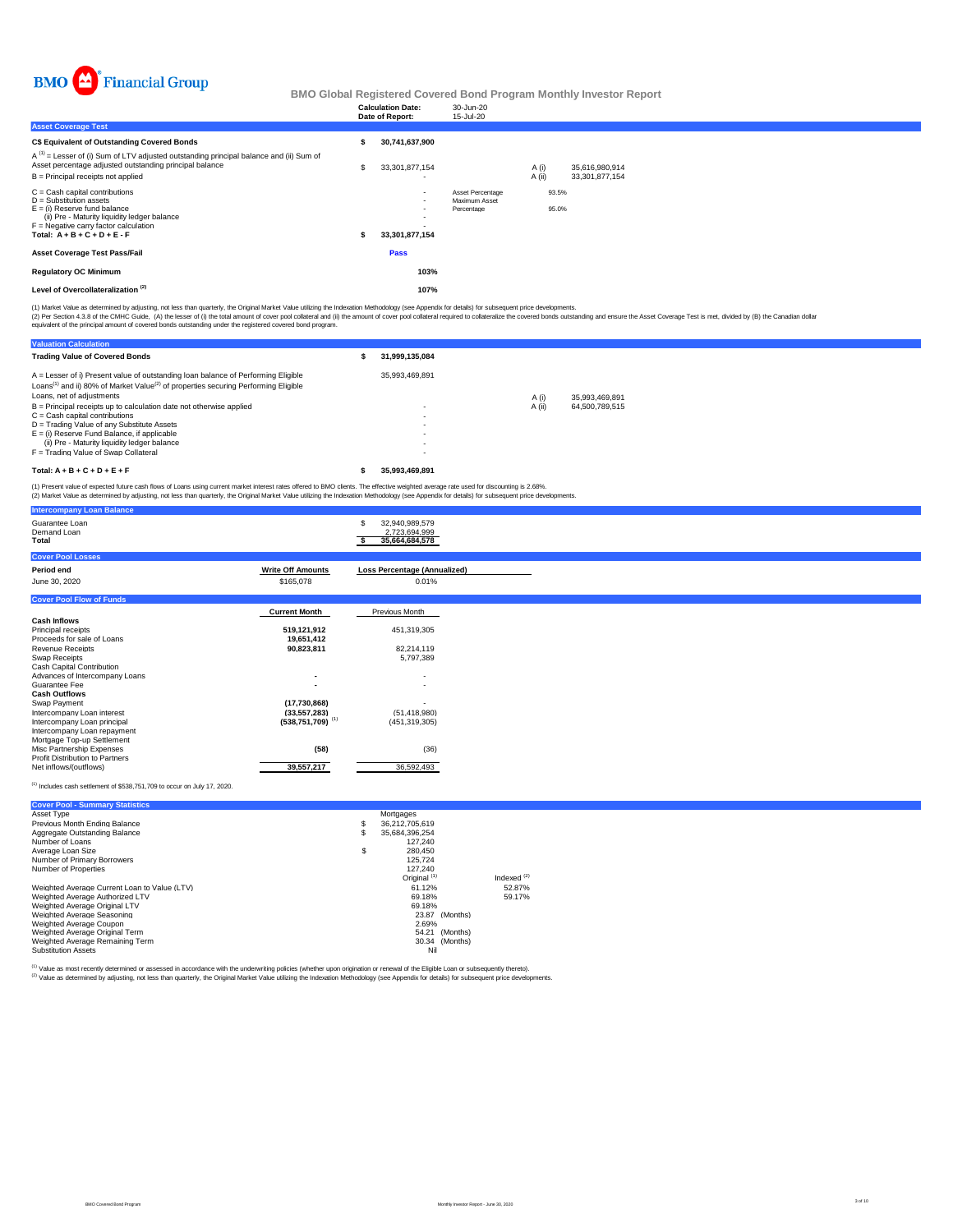

|                                                                                                                                                                                                                      | <b>Calculation Date:</b><br>Date of Report: | 30-Jun-20<br>15-Jul-20                          |                 |                |                                  |  |  |
|----------------------------------------------------------------------------------------------------------------------------------------------------------------------------------------------------------------------|---------------------------------------------|-------------------------------------------------|-----------------|----------------|----------------------------------|--|--|
| <b>Asset Coverage Test</b>                                                                                                                                                                                           |                                             |                                                 |                 |                |                                  |  |  |
| C\$ Equivalent of Outstanding Covered Bonds                                                                                                                                                                          | 30,741,637,900                              |                                                 |                 |                |                                  |  |  |
| $A^{(1)}$ = Lesser of (i) Sum of LTV adjusted outstanding principal balance and (ii) Sum of<br>Asset percentage adjusted outstanding principal balance<br>B = Principal receipts not applied                         | 33,301,877,154                              |                                                 | A (i)<br>A (ii) |                | 35,616,980,914<br>33,301,877,154 |  |  |
| C = Cash capital contributions<br>D = Substitution assets<br>E = (i) Reserve fund balance<br>(ii) Pre - Maturity liquidity ledger balance<br>F = Negative carry factor calculation<br>Total: $A + B + C + D + E - F$ | $\overline{\phantom{a}}$<br>33,301,877,154  | Asset Percentage<br>Maximum Asset<br>Percentage |                 | 93.5%<br>95.0% |                                  |  |  |
| Asset Coverage Test Pass/Fail                                                                                                                                                                                        | <b>Pass</b>                                 |                                                 |                 |                |                                  |  |  |
| <b>Regulatory OC Minimum</b>                                                                                                                                                                                         | 103%                                        |                                                 |                 |                |                                  |  |  |
| Level of Overcollateralization <sup>(2)</sup>                                                                                                                                                                        | 107%                                        |                                                 |                 |                |                                  |  |  |
|                                                                                                                                                                                                                      |                                             |                                                 |                 |                |                                  |  |  |

(1) Market Value as determined by adjusting, not less than quarterly, the Original Market Value utilizing the Indexation Methodology (see Appendix for details) for subsequent price developments.

(2) Per Section 4.3.8 of the CMHC Guide, (A) the lesser of (i) the tatal amount of cover prod collect and (ii) the amount of cover pool collateral required to collateralize the covered bonds coustanding and ensure the Asse

| <b>Valuation Calculation</b>                                                                                                                                                                                                 |                          |        |                |
|------------------------------------------------------------------------------------------------------------------------------------------------------------------------------------------------------------------------------|--------------------------|--------|----------------|
| <b>Trading Value of Covered Bonds</b>                                                                                                                                                                                        | 31.999.135.084           |        |                |
| A = Lesser of i) Present value of outstanding loan balance of Performing Eligible<br>Loans <sup>(1)</sup> and ii) 80% of Market Value <sup>(2)</sup> of properties securing Performing Eligible<br>Loans, net of adiustments | 35.993.469.891           | A (i)  | 35.993.469.891 |
| B = Principal receipts up to calculation date not otherwise applied<br>$C =$ Cash capital contributions                                                                                                                      | $\overline{\phantom{0}}$ | A (ii) | 64.500.789.515 |
| D = Trading Value of any Substitute Assets<br>$E =$ (i) Reserve Fund Balance, if applicable                                                                                                                                  |                          |        |                |
| (ii) Pre - Maturity liquidity ledger balance<br>F = Trading Value of Swap Collateral                                                                                                                                         |                          |        |                |
| Total: $A + B + C + D + E + F$                                                                                                                                                                                               | 35.993.469.891           |        |                |

(1) Present value of expected future cash flows of Loans using current market interest rates offered to BMO clients. The effective weighted average rate used for discounting is 2.68%.<br>(2) Market Value as determined by adju

|                          | 32,940,989,579<br>s<br>2,723,694,999<br>35,664,684,578                                                          |                                                                                                        |
|--------------------------|-----------------------------------------------------------------------------------------------------------------|--------------------------------------------------------------------------------------------------------|
|                          |                                                                                                                 |                                                                                                        |
| <b>Write Off Amounts</b> | <b>Loss Percentage (Annualized)</b>                                                                             |                                                                                                        |
| \$165,078                | 0.01%                                                                                                           |                                                                                                        |
|                          |                                                                                                                 |                                                                                                        |
|                          |                                                                                                                 |                                                                                                        |
|                          |                                                                                                                 |                                                                                                        |
|                          |                                                                                                                 |                                                                                                        |
| 19,651,412               |                                                                                                                 |                                                                                                        |
| 90,823,811               | 82.214.119                                                                                                      |                                                                                                        |
|                          | 5,797,389                                                                                                       |                                                                                                        |
|                          |                                                                                                                 |                                                                                                        |
| ۰.                       | $\overline{\phantom{a}}$                                                                                        |                                                                                                        |
| ۰.                       | $\overline{\phantom{a}}$                                                                                        |                                                                                                        |
|                          |                                                                                                                 |                                                                                                        |
|                          |                                                                                                                 |                                                                                                        |
|                          |                                                                                                                 |                                                                                                        |
|                          |                                                                                                                 |                                                                                                        |
|                          |                                                                                                                 |                                                                                                        |
|                          |                                                                                                                 |                                                                                                        |
|                          |                                                                                                                 |                                                                                                        |
| 39,557,217               | 36,592,493                                                                                                      |                                                                                                        |
|                          | <b>Current Month</b><br>519,121,912<br>(17,730,868)<br>(33, 557, 283)<br>$(538,751,709)$ <sup>(1)</sup><br>(58) | Previous Month<br>451,319,305<br>$\overline{\phantom{a}}$<br>(51, 418, 980)<br>(451, 319, 305)<br>(36) |

(1) Includes cash settlement of \$538,751,709 to occur on July 17, 2020.

| <b>Cover Pool - Summary Statistics</b>       |    |                         |                  |
|----------------------------------------------|----|-------------------------|------------------|
| Asset Type                                   |    | Mortgages               |                  |
| Previous Month Ending Balance                | s  | 36.212.705.619          |                  |
| Aggregate Outstanding Balance                | s  | 35.684.396.254          |                  |
| Number of Loans                              |    | 127.240                 |                  |
| Average Loan Size                            | \$ | 280.450                 |                  |
| Number of Primary Borrowers                  |    | 125.724                 |                  |
| Number of Properties                         |    | 127.240                 |                  |
|                                              |    | Original <sup>(1)</sup> | Indexed $^{(2)}$ |
| Weighted Average Current Loan to Value (LTV) |    | 61.12%                  | 52.87%           |
| Weighted Average Authorized LTV              |    | 69.18%                  | 59.17%           |
| Weighted Average Original LTV                |    | 69.18%                  |                  |
| Weighted Average Seasoning                   |    | 23.87 (Months)          |                  |
| Weighted Average Coupon                      |    | 2.69%                   |                  |
| Weighted Average Original Term               |    | 54.21 (Months)          |                  |
| Weighted Average Remaining Term              |    | 30.34 (Months)          |                  |
| <b>Substitution Assets</b>                   |    | Nil                     |                  |

<sup>(1)</sup> Value as most recently determined or assessed in accordance with the underwriting policies (whether upon origination or renewal of the Eligible Loan or subsequently thereto).<br><sup>(2)</sup> Value as determined by adjusting, n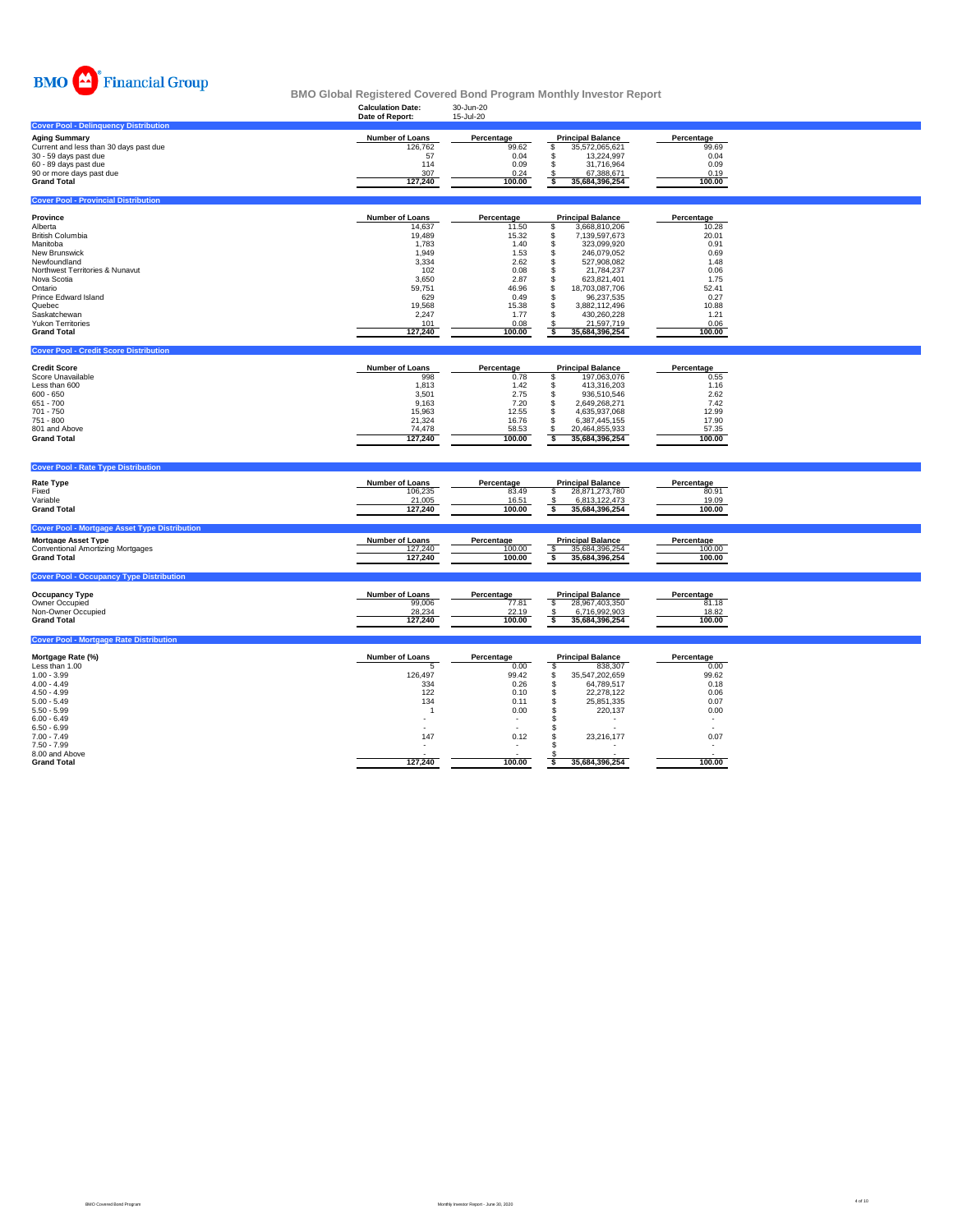

|                                                                                                                                                                                                                                                                                                                      | <b>Calculation Date:</b><br>Date of Report:                                                                                                 | 30-Jun-20<br>15-Jul-20                                                                                                   |                                                                                                                                                                                                                                                                                                                   |                                                                                                                             |  |
|----------------------------------------------------------------------------------------------------------------------------------------------------------------------------------------------------------------------------------------------------------------------------------------------------------------------|---------------------------------------------------------------------------------------------------------------------------------------------|--------------------------------------------------------------------------------------------------------------------------|-------------------------------------------------------------------------------------------------------------------------------------------------------------------------------------------------------------------------------------------------------------------------------------------------------------------|-----------------------------------------------------------------------------------------------------------------------------|--|
| <b>Cover Pool - Delinquency Distribution</b>                                                                                                                                                                                                                                                                         |                                                                                                                                             |                                                                                                                          |                                                                                                                                                                                                                                                                                                                   |                                                                                                                             |  |
| <b>Aging Summary</b><br>Current and less than 30 days past due<br>30 - 59 days past due<br>60 - 89 days past due<br>90 or more days past due<br><b>Grand Total</b>                                                                                                                                                   | <b>Number of Loans</b><br>126,762<br>57<br>114<br>307<br>127,240                                                                            | Percentage<br>99.62<br>0.04<br>0.09<br>0.24<br>100.00                                                                    | <b>Principal Balance</b><br>\$<br>35,572,065,621<br>\$<br>13,224,997<br>\$<br>31,716,964<br>67,388,671<br>-S<br>35,684,396,254<br>s                                                                                                                                                                               | Percentage<br>99.69<br>0.04<br>0.09<br>0.19<br>100.00                                                                       |  |
| <b>Cover Pool - Provincial Distribution</b>                                                                                                                                                                                                                                                                          |                                                                                                                                             |                                                                                                                          |                                                                                                                                                                                                                                                                                                                   |                                                                                                                             |  |
|                                                                                                                                                                                                                                                                                                                      |                                                                                                                                             |                                                                                                                          |                                                                                                                                                                                                                                                                                                                   |                                                                                                                             |  |
| Province<br>Alberta<br><b>British Columbia</b><br>Manitoba<br>New Brunswick<br>Newfoundland<br>Northwest Territories & Nunavut<br>Nova Scotia<br>Ontario<br><b>Prince Edward Island</b><br>Quebec<br>Saskatchewan<br><b>Yukon Territories</b><br><b>Grand Total</b><br><b>Cover Pool - Credit Score Distribution</b> | <b>Number of Loans</b><br>14,637<br>19,489<br>1,783<br>1,949<br>3,334<br>102<br>3,650<br>59,751<br>629<br>19,568<br>2,247<br>101<br>127,240 | Percentage<br>11.50<br>15.32<br>1.40<br>1.53<br>2.62<br>0.08<br>2.87<br>46.96<br>0.49<br>15.38<br>1.77<br>0.08<br>100.00 | <b>Principal Balance</b><br>\$<br>3,668,810,206<br>7,139,597,673<br>\$<br>\$<br>323,099,920<br>\$<br>246,079,052<br>527,908,082<br>\$<br>\$<br>21,784,237<br>\$<br>623,821,401<br>\$<br>18,703,087,706<br>\$<br>96,237,535<br>3.882.112.496<br>\$<br>s<br>430,260,228<br>21,597,719<br>-\$<br>35,684,396,254<br>ŝ | Percentage<br>10.28<br>20.01<br>0.91<br>0.69<br>1.48<br>0.06<br>1.75<br>52.41<br>0.27<br>10.88<br>1.21<br>0.06<br>100.00    |  |
|                                                                                                                                                                                                                                                                                                                      |                                                                                                                                             |                                                                                                                          |                                                                                                                                                                                                                                                                                                                   |                                                                                                                             |  |
| <b>Credit Score</b><br>Score Unavailable<br>Less than 600<br>$600 - 650$<br>651 - 700<br>701 - 750<br>751 - 800<br>801 and Above<br><b>Grand Total</b>                                                                                                                                                               | Number of Loans<br>998<br>1,813<br>3,501<br>9,163<br>15,963<br>21,324<br>74,478<br>127,240                                                  | Percentage<br>0.78<br>1.42<br>2.75<br>7.20<br>12.55<br>16.76<br>58.53<br>100.00                                          | <b>Principal Balance</b><br>197,063,076<br>s<br>s<br>413,316,203<br>\$<br>936,510,546<br>\$<br>2,649,268,271<br>\$<br>4,635,937,068<br>\$<br>6,387,445,155<br>\$<br>20,464,855,933<br>35,684,396,254<br>s                                                                                                         | Percentage<br>0.55<br>1.16<br>2.62<br>7.42<br>12.99<br>17.90<br>57.35<br>100.00                                             |  |
| <b>Cover Pool - Rate Type Distribution</b>                                                                                                                                                                                                                                                                           |                                                                                                                                             |                                                                                                                          |                                                                                                                                                                                                                                                                                                                   |                                                                                                                             |  |
| <b>Rate Type</b><br>Fixed<br>Variable<br><b>Grand Total</b>                                                                                                                                                                                                                                                          | Number of Loans<br>106,235<br>21,005<br>127,240                                                                                             | Percentage<br>83.49<br>16.51<br>100.00                                                                                   | <b>Principal Balance</b><br>28,871,273,780<br>-S<br>6,813,122,473<br>-S<br>s<br>35,684,396,254                                                                                                                                                                                                                    | Percentage<br>80.91<br>19.09<br>100.00                                                                                      |  |
| <b>Cover Pool - Mortgage Asset Type Distribution</b>                                                                                                                                                                                                                                                                 |                                                                                                                                             |                                                                                                                          |                                                                                                                                                                                                                                                                                                                   |                                                                                                                             |  |
| <b>Mortgage Asset Type</b><br><b>Conventional Amortizing Mortgages</b><br><b>Grand Total</b>                                                                                                                                                                                                                         | <b>Number of Loans</b><br>127,240<br>127,240                                                                                                | Percentage<br>100.00<br>100.00                                                                                           | <b>Principal Balance</b><br>35,684,396,254<br>s<br>35,684,396,254                                                                                                                                                                                                                                                 | Percentage<br>100.00<br>100.00                                                                                              |  |
| <b>Cover Pool - Occupancy Type Distribution</b>                                                                                                                                                                                                                                                                      |                                                                                                                                             |                                                                                                                          |                                                                                                                                                                                                                                                                                                                   |                                                                                                                             |  |
| <b>Occupancy Type</b><br>Owner Occupied<br>Non-Owner Occupied<br><b>Grand Total</b>                                                                                                                                                                                                                                  | Number of Loans<br>99,006<br>28,234<br>127,240                                                                                              | Percentage<br>77.81<br>22.19<br>100.00                                                                                   | <b>Principal Balance</b><br>\$<br>28,967,403,350<br>6,716,992,903<br>- \$<br>35,684,396,254<br>\$                                                                                                                                                                                                                 | Percentage<br>81.18<br>18.82<br>100.00                                                                                      |  |
| <b>Cover Pool - Mortgage Rate Distribution</b>                                                                                                                                                                                                                                                                       |                                                                                                                                             |                                                                                                                          |                                                                                                                                                                                                                                                                                                                   |                                                                                                                             |  |
| Mortgage Rate (%)<br>Less than 1.00<br>$1.00 - 3.99$<br>$4.00 - 4.49$<br>$4.50 - 4.99$<br>$5.00 - 5.49$<br>$5.50 - 5.99$<br>$6.00 - 6.49$<br>$6.50 - 6.99$<br>$7.00 - 7.49$<br>$7.50 - 7.99$                                                                                                                         | <b>Number of Loans</b><br>-5<br>126,497<br>334<br>122<br>134<br>$\overline{1}$<br>$\overline{\phantom{a}}$<br>147                           | Percentage<br>0.00<br>99.42<br>0.26<br>0.10<br>0.11<br>0.00<br>$\overline{\phantom{a}}$<br>0.12                          | <b>Principal Balance</b><br>\$<br>838,307<br>\$<br>35,547,202,659<br>\$<br>64,789,517<br>\$<br>22,278,122<br>$\mathsf{\$}$<br>25,851,335<br><b>S</b><br>220,137<br>\$<br>s<br>\$<br>23,216,177<br>\$.                                                                                                             | Percentage<br>0.00<br>99.62<br>0.18<br>0.06<br>0.07<br>0.00<br>$\sim$<br>$\overline{a}$<br>0.07<br>$\overline{\phantom{a}}$ |  |
| 8.00 and Above<br><b>Grand Total</b>                                                                                                                                                                                                                                                                                 | 127,240                                                                                                                                     | 100.00                                                                                                                   | 35,684,396,254<br>s                                                                                                                                                                                                                                                                                               | 100.00                                                                                                                      |  |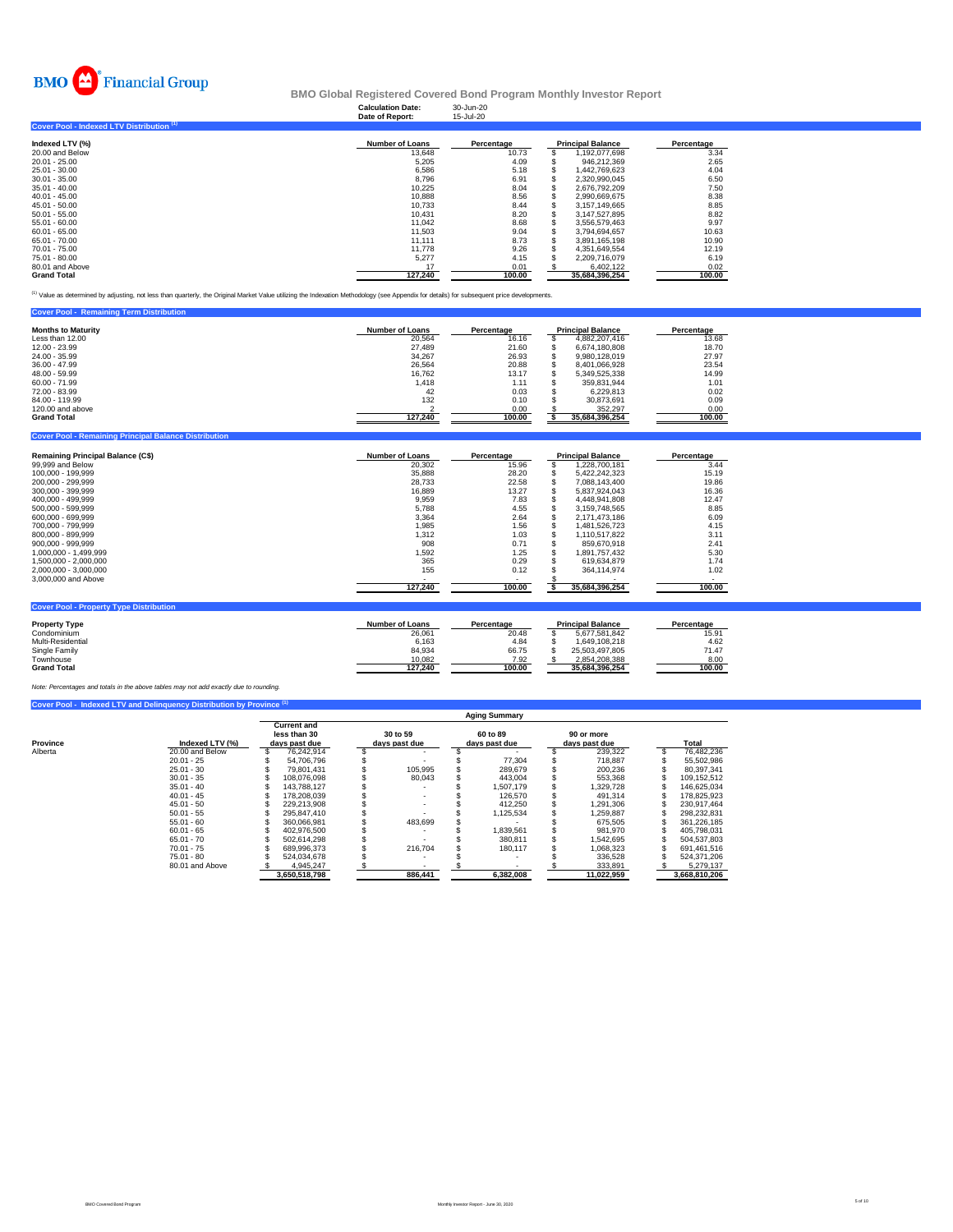

## **Calculation Date:** 30-Jun-20 **BMO Global Registered Covered Bond Program Monthly Investor Report**

|                                           | Date of Report:        | 15-Jul-20  |                          |            |
|-------------------------------------------|------------------------|------------|--------------------------|------------|
| Cover Pool - Indexed LTV Distribution (1) |                        |            |                          |            |
| Indexed LTV (%)                           | <b>Number of Loans</b> | Percentage | <b>Principal Balance</b> | Percentage |
| 20.00 and Below                           | 13.648                 | 10.73      | 1.192.077.698            | 3.34       |
| $20.01 - 25.00$                           | 5.205                  | 4.09       | 946.212.369              | 2.65       |
| 25.01 - 30.00                             | 6.586                  | 5.18       | 1.442.769.623            | 4.04       |
| $30.01 - 35.00$                           | 8.796                  | 6.91       | 2.320.990.045            | 6.50       |
| $35.01 - 40.00$                           | 10.225                 | 8.04       | 2.676.792.209            | 7.50       |
| $40.01 - 45.00$                           | 10,888                 | 8.56       | 2.990.669.675            | 8.38       |
| $45.01 - 50.00$                           | 10.733                 | 8.44       | 3.157.149.665            | 8.85       |
| $50.01 - 55.00$                           | 10.431                 | 8.20       | 3.147.527.895            | 8.82       |
| 55.01 - 60.00                             | 11.042                 | 8.68       | 3,556,579,463            | 9.97       |
| $60.01 - 65.00$                           | 11.503                 | 9.04       | 3.794.694.657            | 10.63      |
| 65.01 - 70.00                             | 11.111                 | 8.73       | 3.891.165.198            | 10.90      |
| 70.01 - 75.00                             | 11,778                 | 9.26       | 4.351.649.554            | 12.19      |
| 75.01 - 80.00                             | 5,277                  | 4.15       | 2.209.716.079            | 6.19       |
| 80.01 and Above                           | 17                     | 0.01       | 6.402.122                | 0.02       |
| <b>Grand Total</b>                        | 127.240                | 100.00     | 35.684.396.254           | 100.00     |

(1) Value as determined by adjusting, not less than quarterly, the Original Market Value utilizing the Indexation Methodology (see Appendix for details) for subsequent price developments.

| <b>Cover Pool - Remaining Term Distribution</b> |                        |            |                          |            |
|-------------------------------------------------|------------------------|------------|--------------------------|------------|
| <b>Months to Maturity</b>                       | <b>Number of Loans</b> | Percentage | <b>Principal Balance</b> | Percentage |
| Less than 12.00                                 | 20.564                 | 16.16      | 4.882.207.416            | 13.68      |
|                                                 |                        |            |                          |            |
| 12.00 - 23.99                                   | 27,489                 | 21.60      | 6.674.180.808            | 18.70      |
| 24.00 - 35.99                                   | 34.267                 | 26.93      | 9.980.128.019            | 27.97      |
| 36.00 - 47.99                                   | 26,564                 | 20.88      | 8,401,066,928            | 23.54      |
| 48.00 - 59.99                                   | 16,762                 | 13.17      | 5.349.525.338            | 14.99      |
| $60.00 - 71.99$                                 | 1,418                  | 1.11       | 359.831.944              | 1.01       |
| 72.00 - 83.99                                   | 42                     | 0.03       | 6.229.813                | 0.02       |
| 84.00 - 119.99                                  | 132                    | 0.10       | 30.873.691               | 0.09       |
| 120,00 and above                                |                        | 0.00       | 352.297                  | 0.00       |
| <b>Grand Total</b>                              | 127.240                | 100.00     | 35,684,396,254           | 100.00     |

| <b>Remaining Principal Balance (C\$)</b>       | <b>Number of Loans</b>   | Percentage | <b>Principal Balance</b> | Percentage |
|------------------------------------------------|--------------------------|------------|--------------------------|------------|
| 99,999 and Below                               | 20,302                   | 15.96      | 1,228,700,181            | 3.44       |
| 100.000 - 199.999                              | 35,888                   | 28.20      | 5.422.242.323            | 15.19      |
| 200.000 - 299.999                              | 28.733                   | 22.58      | 7.088.143.400            | 19.86      |
| 300.000 - 399.999                              | 16.889                   | 13.27      | 5.837.924.043            | 16.36      |
| 400.000 - 499.999                              | 9.959                    | 7.83       | 4.448.941.808            | 12.47      |
| 500.000 - 599.999                              | 5.788                    | 4.55       | 3.159.748.565            | 8.85       |
| 600.000 - 699.999                              | 3.364                    | 2.64       | 2.171.473.186            | 6.09       |
| 700.000 - 799.999                              | 1.985                    | 1.56       | 1.481.526.723            | 4.15       |
| 800.000 - 899.999                              | 1,312                    | 1.03       | 1,110,517,822            | 3.11       |
| $900.000 - 999.999$                            | 908                      | 0.71       | 859.670.918              | 2.41       |
| 1.000.000 - 1.499.999                          | 1,592                    | 1.25       | 1,891,757,432            | 5.30       |
| 1.500.000 - 2.000.000                          | 365                      | 0.29       | 619.634.879              | 1.74       |
| 2,000,000 - 3,000,000                          | 155                      | 0.12       | 364.114.974              | 1.02       |
| 3,000,000 and Above                            | $\overline{\phantom{0}}$ |            |                          | ۰.         |
|                                                | 127,240                  | 100.00     | 35,684,396,254           | 100.00     |
| <b>Cover Pool - Property Type Distribution</b> |                          |            |                          |            |
| <b>Property Type</b>                           | Number of Loans          | Percentage | <b>Principal Balance</b> | Percentage |

| <b>Property Type</b> | <b>Number of Loans</b> | Percentage | <b>Principal Balance</b> | Percentage |
|----------------------|------------------------|------------|--------------------------|------------|
| Condominium          | 26.061                 | 20.48      | 5.677.581.842            | 15.91      |
| Multi-Residential    | 6.163                  | 4.84       | 1.649.108.218            | 4.62       |
| Single Family        | 84.934                 | 66.75      | 25.503.497.805           | 71.47      |
| Townhouse            | 10.082                 | 7.92       | 2.854.208.388            | 8.00       |
| <b>Grand Total</b>   | 127.240                | 100.00     | 35.684.396.254           | 100.00     |
|                      |                        |            |                          |            |

*Note: Percentages and totals in the above tables may not add exactly due to rounding.*

**Cover Balance Distribution** 

|          | Cover Pool - Indexed LTV and Delinguency Distribution by Province (1) |                                                     |  |                           |                           |                             |               |
|----------|-----------------------------------------------------------------------|-----------------------------------------------------|--|---------------------------|---------------------------|-----------------------------|---------------|
|          |                                                                       |                                                     |  |                           | <b>Aging Summary</b>      |                             |               |
| Province | Indexed LTV (%)                                                       | <b>Current and</b><br>less than 30<br>days past due |  | 30 to 59<br>days past due | 60 to 89<br>days past due | 90 or more<br>days past due | <b>Total</b>  |
| Alberta  | 20.00 and Below                                                       | 76.242.914                                          |  |                           |                           | 239.322                     | 76.482.236    |
|          | $20.01 - 25$                                                          | 54.706.796                                          |  |                           | 77.304                    | 718.887                     | 55.502.986    |
|          | $25.01 - 30$                                                          | 79.801.431                                          |  | 105.995                   | 289.679                   | 200.236                     | 80.397.341    |
|          | $30.01 - 35$                                                          | 108.076.098                                         |  | 80.043                    | 443.004                   | 553.368                     | 109.152.512   |
|          | $35.01 - 40$                                                          | 143.788.127                                         |  |                           | 1,507,179                 | .329.728                    | 146.625.034   |
|          | $40.01 - 45$                                                          | 178.208.039                                         |  |                           | 126.570                   | 491.314                     | 178.825.923   |
|          | $45.01 - 50$                                                          | 229.213.908                                         |  |                           | 412.250                   | .291.306                    | 230.917.464   |
|          | $50.01 - 55$                                                          | 295.847.410                                         |  |                           | 1,125,534                 | .259.887                    | 298.232.831   |
|          | $55.01 - 60$                                                          | 360.066.981                                         |  | 483.699                   |                           | 675.505                     | 361.226.185   |
|          | $60.01 - 65$                                                          | 402.976.500                                         |  |                           | 1,839,561                 | 981.970                     | 405.798.031   |
|          | $65.01 - 70$                                                          | 502.614.298                                         |  |                           | 380.811                   | 1.542.695                   | 504.537.803   |
|          | $70.01 - 75$                                                          | 689.996.373                                         |  | 216,704                   | 180.117                   | 1.068.323                   | 691.461.516   |
|          | $75.01 - 80$                                                          | 524.034.678                                         |  |                           |                           | 336.528                     | 524.371.206   |
|          | 80.01 and Above                                                       | 4.945.247                                           |  |                           |                           | 333.891                     | 5.279.137     |
|          |                                                                       | 3.650.518.798                                       |  | 886.441                   | 6.382.008                 | 11.022.959                  | 3.668.810.206 |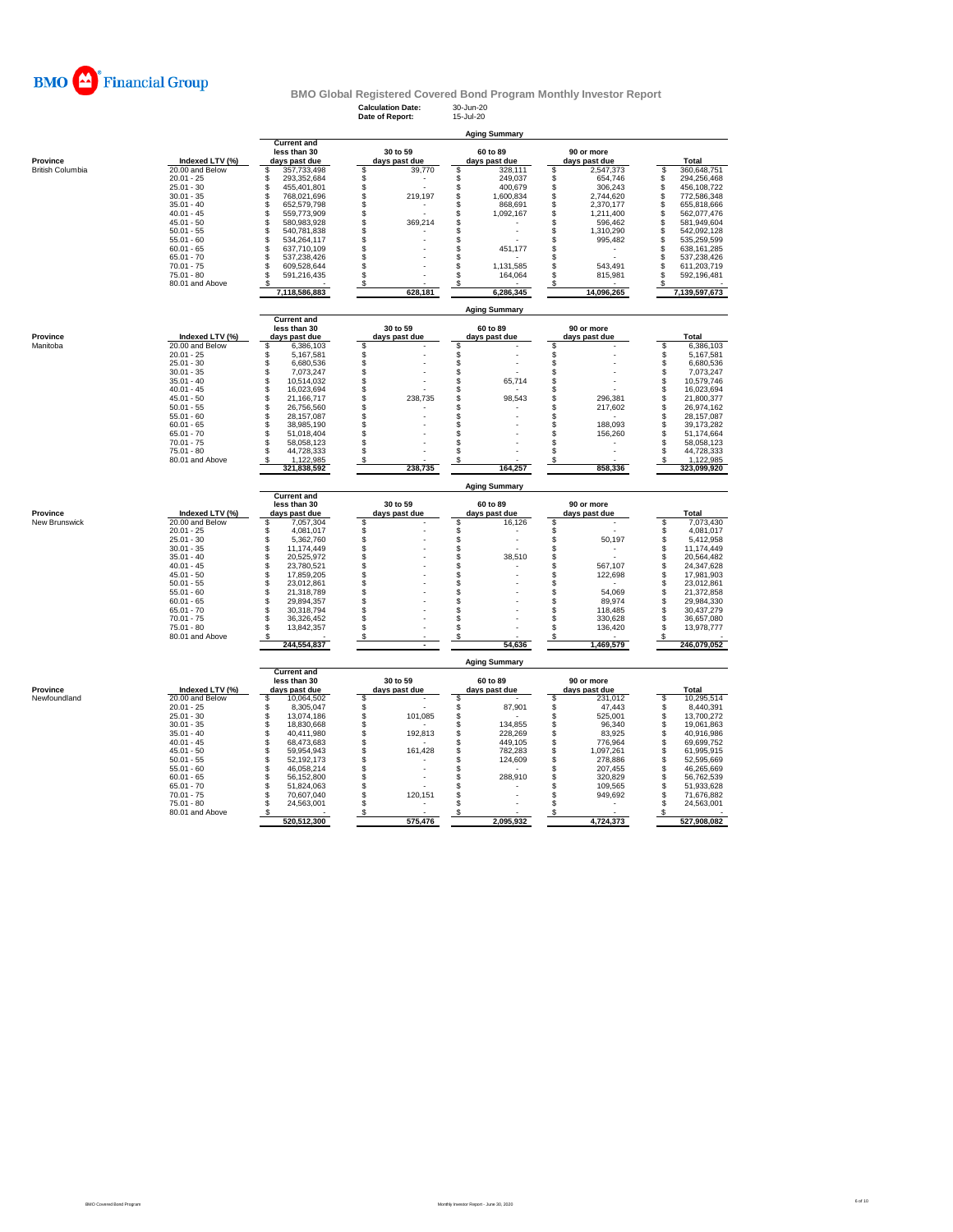

**Calculation Date:** 30-Jun-20 **Date of Report:** 15-Jul-20

|                         |                                 |                                        |                     | <b>Aging Summary</b>             |                                    |                                        |
|-------------------------|---------------------------------|----------------------------------------|---------------------|----------------------------------|------------------------------------|----------------------------------------|
|                         |                                 | <b>Current and</b><br>less than 30     | 30 to 59            | 60 to 89                         | 90 or more                         |                                        |
| Province                | Indexed LTV (%)                 | days past due                          | days past due       | days past due                    | days past due                      | Total                                  |
| <b>British Columbia</b> | 20.00 and Below                 | \$<br>357,733,498                      | \$<br>39,770        | \$<br>328,111                    | \$<br>2,547,373                    | S<br>360,648,751                       |
|                         | $20.01 - 25$                    | \$<br>293,352,684                      | \$                  | $\mathbb S$<br>249,037           | 654,746<br>\$                      | $\mathbb S$<br>294,256,468             |
|                         | $25.01 - 30$                    | \$<br>455,401,801                      | \$                  | \$<br>400,679                    | 306.243<br>\$                      | \$<br>456,108,722                      |
|                         | $30.01 - 35$<br>$35.01 - 40$    | \$<br>768,021,696<br>\$<br>652,579,798 | \$<br>219,197<br>\$ | \$<br>1,600,834<br>\$<br>868,691 | \$<br>2,744,620<br>\$<br>2,370,177 | \$<br>772,586,348<br>\$<br>655,818,666 |
|                         | $40.01 - 45$                    | \$<br>559,773,909                      | \$                  | \$<br>1,092,167                  | 1,211,400<br>\$                    | \$<br>562,077,476                      |
|                         | $45.01 - 50$                    | \$<br>580,983,928                      | \$<br>369,214       | \$                               | 596,462<br>\$                      | \$<br>581,949,604                      |
|                         | $50.01 - 55$                    | \$<br>540,781,838                      | \$                  | \$                               | 1,310,290<br>\$                    | \$<br>542,092,128                      |
|                         | $55.01 - 60$                    | \$<br>534,264,117                      | \$                  | \$                               | \$<br>995,482                      | \$<br>535,259,599                      |
|                         | $60.01 - 65$                    | S<br>637,710,109                       | \$                  | \$<br>451,177                    | S                                  | \$<br>638,161,285                      |
|                         | $65.01 - 70$                    | \$<br>537,238,426                      | \$                  | S                                | S                                  | \$<br>537,238,426                      |
|                         | $70.01 - 75$                    | \$<br>609,528,644                      | \$                  | \$<br>1,131,585                  | \$<br>543,491                      | \$<br>611,203,719                      |
|                         | $75.01 - 80$<br>80.01 and Above | S<br>591,216,435                       | \$<br>\$            | \$<br>164,064                    | s<br>815,981                       | \$<br>592,196,481                      |
|                         |                                 | 7,118,586,883                          | 628,181             | 6,286,345                        | 14,096,265                         | 7,139,597,673                          |
|                         |                                 |                                        |                     | <b>Aging Summary</b>             |                                    |                                        |
|                         |                                 | <b>Current and</b><br>less than 30     | 30 to 59            | 60 to 89                         | 90 or more                         |                                        |
| Province                | Indexed LTV (%)                 | days past due                          | days past due       | days past due                    | days past due                      | Total                                  |
| Manitoba                | 20.00 and Below                 | \$<br>6,386,103                        | \$                  |                                  | s                                  | \$<br>6,386,103                        |
|                         | $20.01 - 25$                    | \$<br>5,167,581                        |                     | \$                               | \$                                 | \$<br>5,167,581                        |
|                         | $25.01 - 30$                    | \$<br>6,680,536                        | \$                  | $\ddot{s}$                       | \$                                 | \$<br>6,680,536                        |
|                         | $30.01 - 35$                    | \$<br>7,073,247<br>Š                   | \$<br>$\dot{\$}$    | \$<br>$\ddot{\$}$                | \$                                 | 7,073,247<br>Š                         |
|                         | $35.01 - 40$<br>$40.01 - 45$    | 10,514,032<br>\$<br>16,023,694         | \$                  | 65,714<br>\$                     | \$<br>S                            | 10,579,746<br>\$<br>16,023,694         |
|                         | $45.01 - 50$                    | S<br>21,166,717                        | \$<br>238.735       | \$<br>98,543                     | S<br>296.381                       | \$<br>21,800,377                       |
|                         | $50.01 - 55$                    | \$<br>26,756,560                       | \$                  | \$                               | S<br>217,602                       | \$<br>26,974,162                       |
|                         | $55.01 - 60$                    | \$<br>28,157,087                       | \$                  | \$                               | \$                                 | ś<br>28,157,087                        |
|                         | $60.01 - 65$                    | \$<br>38,985,190                       | \$                  | \$                               | 188,093<br>\$                      | \$<br>39,173,282                       |
|                         | $65.01 - 70$                    | \$<br>51,018,404                       | \$                  | S                                | 156,260<br>\$                      | \$<br>51,174,664                       |
|                         | $70.01 - 75$                    | \$<br>58,058,123                       | \$                  | \$                               | s                                  | \$<br>58,058,123                       |
|                         | 75.01 - 80<br>80.01 and Above   | \$<br>44,728,333<br>1,122,985<br>S     | \$<br>\$            | \$<br>\$                         | S<br>s                             | \$<br>44,728,333<br>S<br>1,122,985     |
|                         |                                 | 321,838,592                            | 238,735             | 164,257                          | 858,336                            | 323,099,920                            |
|                         |                                 |                                        |                     |                                  |                                    |                                        |
|                         |                                 |                                        |                     | <b>Aging Summary</b>             |                                    |                                        |
|                         |                                 | <b>Current and</b><br>less than 30     | 30 to 59            |                                  |                                    |                                        |
| Province                | Indexed LTV (%)                 | days past due                          | days past due       | 60 to 89<br>days past due        | 90 or more<br>days past due        | Total                                  |
| New Brunswick           | 20.00 and Below                 | \$<br>7,057,304                        |                     | 16,126                           | \$                                 | \$<br>7,073,430                        |
|                         | $20.01 - 25$                    | $\ddot{\$}$<br>4,081,017               | \$                  | \$                               | \$                                 | \$<br>4,081,017                        |
|                         | $25.01 - 30$                    | \$<br>5,362,760                        | \$                  | $\ddot{\$}$                      | \$<br>50,197                       | \$<br>5,412,958                        |
|                         | $30.01 - 35$                    | \$<br>11,174,449                       | \$                  | \$                               | \$                                 | \$<br>11,174,449                       |
|                         | $35.01 - 40$                    | \$<br>20,525,972                       | \$                  | \$<br>38,510                     | \$                                 | \$<br>20,564,482                       |
|                         | $40.01 - 45$                    | \$<br>23,780,521                       | \$                  | \$                               | \$<br>567,107                      | \$<br>24,347,628                       |
|                         | $45.01 - 50$<br>$50.01 - 55$    | \$<br>17,859,205<br>\$<br>23,012,861   | \$<br>\$            | \$<br>\$                         | \$<br>122,698<br>S                 | \$<br>17,981,903<br>23,012,861         |
|                         | $55.01 - 60$                    | \$<br>21,318,789                       | $\ddot{\$}$         | \$                               | 54,069<br>\$                       | 21,372,858                             |
|                         | $60.01 - 65$                    | \$<br>29,894,357                       | \$                  | $\ddot{s}$                       | 89,974<br>S                        | <b>S</b><br>S<br>S<br>29,984,330       |
|                         | $65.01 - 70$                    | S<br>30,318,794                        | \$                  | \$                               | 118.485<br>S                       | 30,437,279                             |
|                         | $70.01 - 75$                    | \$<br>36,326,452                       | \$                  | \$                               | 330,628<br>S                       | \$<br>36,657,080                       |
|                         | $75.01 - 80$<br>80.01 and Above | \$<br>13,842,357                       | \$<br>\$            | \$<br>S                          | 136,420<br>s<br>\$                 | ś<br>13,978,777<br>S                   |
|                         |                                 | 244,554,837                            |                     | 54,636                           | 1,469,579                          | 246,079,052                            |
|                         |                                 |                                        |                     | <b>Aging Summary</b>             |                                    |                                        |
|                         |                                 | <b>Current and</b><br>less than 30     | 30 to 59            | 60 to 89                         | 90 or more                         |                                        |
| Province                | Indexed LTV (%)                 | days past due                          | days past due       | days past due                    | days past due                      | Total                                  |
| Newfoundland            | 20.00 and Below                 | 10,064,502<br>\$                       |                     |                                  | 231,012<br>\$                      | S<br>10,295,514                        |
|                         | $20.01 - 25$                    | \$<br>8,305,047                        | \$                  | \$<br>87,901                     | \$<br>47,443                       | \$<br>8,440,391                        |
|                         | $25.01 - 30$                    | \$<br>13,074,186                       | \$<br>101,085       | \$                               | S<br>525.001                       | \$<br>13,700,272                       |
|                         | $30.01 - 35$                    | \$<br>18,830,668                       | \$                  | 134,855<br>\$                    | 96,340<br>\$                       | 19,061,863                             |
|                         | $35.01 - 40$                    | \$<br>40,411,980                       | 192,813             | \$<br>228,269                    | \$<br>83,925                       | \$<br>40,916,986                       |
|                         | $40.01 - 45$<br>$45.01 - 50$    | \$<br>68,473,683<br>\$<br>59,954,943   | \$<br>\$<br>161,428 | \$<br>449,105<br>\$<br>782,283   | \$<br>776,964<br>\$<br>1,097,261   | \$<br>69,699,752<br>61,995,915         |
|                         | $50.01 - 55$                    | \$<br>52,192,173                       | \$                  | \$<br>124,609                    | \$<br>278,886                      | \$<br>\$<br>52,595,669                 |
|                         | $55.01 - 60$                    | \$<br>46,058,214                       | \$                  | \$                               | 207,455<br>\$                      | \$<br>46,265,669                       |
|                         | $60.01 - 65$                    | \$<br>56,152,800                       | \$                  | \$<br>288,910                    | \$<br>320,829                      | \$<br>56,762,539                       |
|                         | $65.01 - 70$                    | \$<br>51,824,063                       | \$                  | \$                               | 109,565<br>S                       | \$<br>51,933,628                       |
|                         | $70.01 - 75$                    | \$<br>70,607,040                       | \$<br>120,151       | \$                               | 949,692<br>S                       | \$<br>71,676,882                       |
|                         | $75.01 - 80$<br>80.01 and Above | \$<br>24,563,001<br>s                  | \$<br>\$            | \$<br>\$                         | S<br>\$                            | \$<br>24,563,001<br>S                  |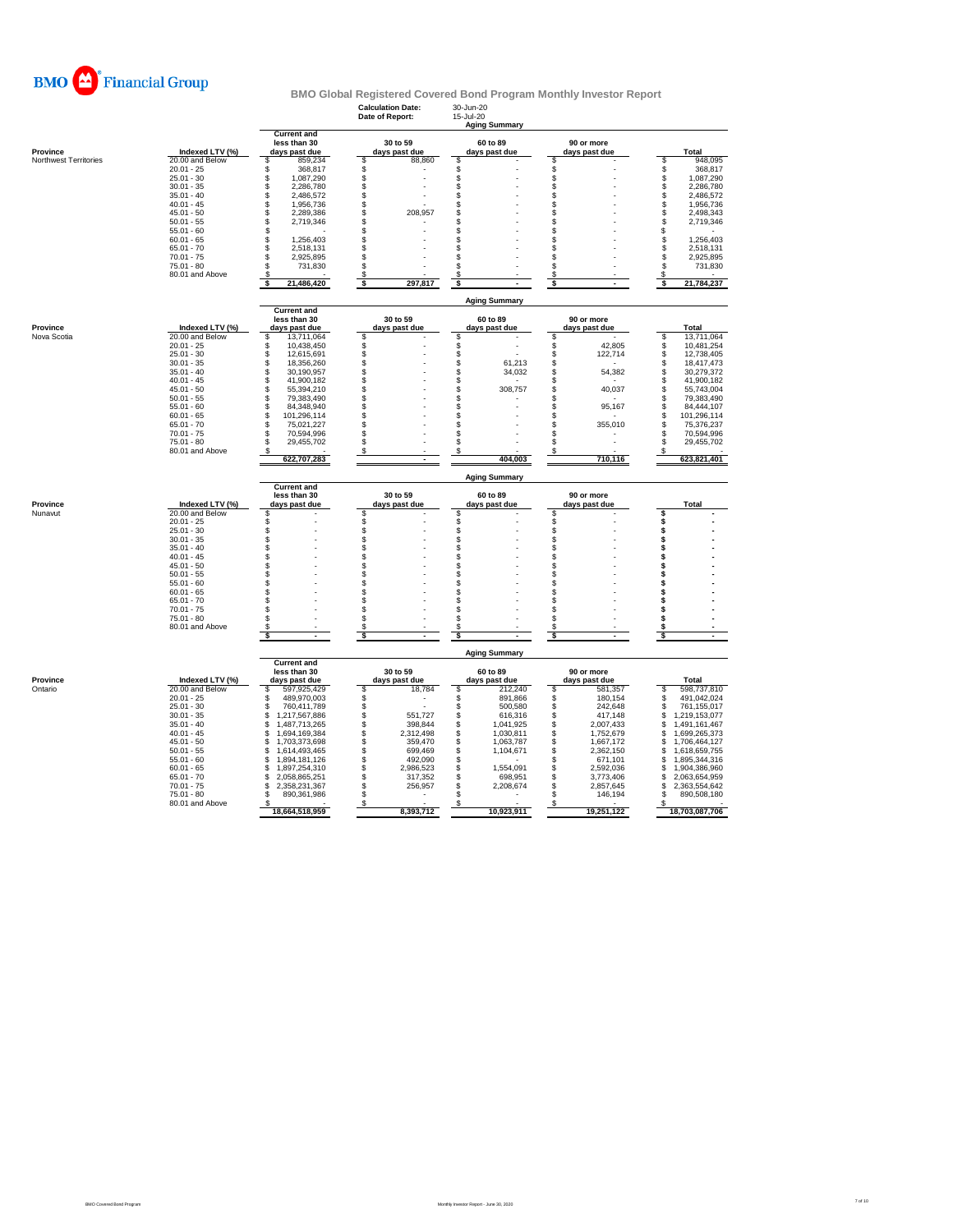

|                       |                 |                                                     | Calculation Date:<br>Date of Report: | 30-Jun-Zu<br>15-Jul-20<br><b>Aging Summary</b> |                             |                         |  |  |
|-----------------------|-----------------|-----------------------------------------------------|--------------------------------------|------------------------------------------------|-----------------------------|-------------------------|--|--|
| Province              | Indexed LTV (%) | <b>Current and</b><br>less than 30<br>days past due | 30 to 59<br>days past due            | 60 to 89<br>days past due                      | 90 or more<br>days past due | Total                   |  |  |
| Northwest Territories | 20.00 and Below | \$<br>859,234                                       | \$<br>88,860                         | \$                                             | \$                          | 948,095<br>\$           |  |  |
|                       | $20.01 - 25$    | \$<br>368,817                                       | \$                                   | \$                                             |                             | $\ddot{s}$<br>368,817   |  |  |
|                       | $25.01 - 30$    | \$<br>1.087.290                                     | \$                                   | \$                                             | \$                          | \$<br>1.087.290         |  |  |
|                       | $30.01 - 35$    | \$<br>2,286,780                                     |                                      | \$                                             | \$                          | \$<br>2,286,780         |  |  |
|                       | $35.01 - 40$    | \$<br>2,486,572                                     | \$                                   | \$                                             | \$                          | \$<br>2,486,572         |  |  |
|                       | $40.01 - 45$    | \$<br>1,956,736                                     | <b>ვ</b>                             | \$                                             | S                           | \$<br>1,956,736         |  |  |
|                       | $45.01 - 50$    | \$<br>2,289,386                                     | 208,957                              |                                                | S                           | \$<br>2,498,343         |  |  |
|                       | $50.01 - 55$    | $\mathbb{S}$<br>2,719,346                           | ś                                    | \$                                             | \$                          | $\ddot{s}$<br>2,719,346 |  |  |
|                       | $55.01 - 60$    | \$                                                  | \$                                   | \$                                             | S                           | \$                      |  |  |
|                       | $60.01 - 65$    | \$<br>1,256,403                                     | \$                                   | \$                                             | S                           | \$<br>1,256,403         |  |  |
|                       | $65.01 - 70$    | \$<br>2,518,131                                     | \$                                   | \$                                             | s                           | \$<br>2,518,131         |  |  |
|                       | $70.01 - 75$    | \$<br>2,925,895                                     | \$                                   | \$                                             | \$                          | \$<br>2,925,895         |  |  |
|                       | $75.01 - 80$    | \$<br>731,830                                       | \$                                   | \$                                             | \$                          | \$<br>731,830           |  |  |
|                       | 80.01 and Above | 21,486,420                                          | $\frac{3}{5}$<br>297,817             | s                                              | ॱऽ<br>$\blacksquare$        | S<br>Ś<br>21,784,237    |  |  |
|                       |                 |                                                     |                                      | <b>Aging Summary</b>                           |                             |                         |  |  |
|                       |                 | <b>Current and</b><br>less than 30                  | 30 to 59                             | 60 to 89                                       | 90 or more                  |                         |  |  |
| Province              | Indexed LTV (%) | days past due                                       | days past due                        | days past due                                  | days past due               | Total                   |  |  |
| Nova Scotia           | 20.00 and Below | 13,711,064<br>\$                                    | \$                                   | \$                                             | s                           | 13,711,064<br>s         |  |  |
|                       | $20.01 - 25$    | 10,438,450<br>\$                                    | \$                                   | \$                                             | 42,805<br>s                 | \$<br>10,481,254        |  |  |
|                       | $25.01 - 30$    | \$<br>12,615,691                                    |                                      |                                                | \$<br>122,714               | \$<br>12,738,405        |  |  |
|                       | $30.01 - 35$    | s<br>18.356.260                                     | \$                                   | \$<br>61.213                                   | S                           | 18.417.473<br>\$        |  |  |
|                       | $35.01 - 40$    | \$<br>30,190,957                                    |                                      | 34,032                                         | \$<br>54,382                | \$<br>30,279,372        |  |  |
|                       | $40.01 - 45$    | \$<br>41,900,182                                    | \$                                   | \$                                             | \$                          | \$<br>41,900,182        |  |  |
|                       | $45.01 - 50$    | s<br>55,394,210                                     | <b>ვ</b>                             | \$<br>308,757                                  | Ŝ<br>40,037                 | \$<br>55,743,004        |  |  |
|                       | $50.01 - 55$    | s<br>79,383,490                                     |                                      | \$                                             | S                           | \$<br>79,383,490        |  |  |
|                       | $55.01 - 60$    | \$<br>84,348,940                                    | Ś                                    | \$                                             | \$<br>95,167                | \$<br>84,444,107        |  |  |
|                       | $60.01 - 65$    | s<br>101,296,114                                    | \$                                   | \$                                             | \$                          | \$<br>101,296,114       |  |  |
|                       | $65.01 - 70$    | s<br>75.021.227                                     | \$                                   | \$                                             | S<br>355,010                | s<br>75,376,237         |  |  |
|                       | $70.01 - 75$    | s<br>70,594,996                                     | \$                                   | \$                                             | S                           | s<br>70,594,996         |  |  |
|                       | $75.01 - 80$    | \$<br>29,455,702                                    | \$                                   | \$                                             | S                           | \$<br>29,455,702        |  |  |
|                       | 80.01 and Above | 622,707,283                                         | S<br>$\sim$                          | S<br>404,003                                   | 710,116                     | 623,821,401             |  |  |
|                       |                 |                                                     |                                      |                                                |                             |                         |  |  |
|                       |                 | <b>Current and</b>                                  |                                      | <b>Aging Summary</b>                           |                             |                         |  |  |
| Province              | Indexed LTV (%) | less than 30<br>days past due                       | 30 to 59<br>days past due            | 60 to 89<br>days past due                      | 90 or more<br>days past due | Total                   |  |  |
| Nunavut               | 20.00 and Below | \$                                                  | \$                                   | \$                                             | S                           | \$                      |  |  |
|                       | $20.01 - 25$    | \$                                                  |                                      |                                                |                             | \$                      |  |  |
|                       | $25.01 - 30$    | \$                                                  |                                      |                                                | \$                          |                         |  |  |
|                       | $30.01 - 35$    | $\hat{\mathbb{S}}$                                  | \$\$                                 | \$\$                                           | \$                          | \$                      |  |  |
|                       | $35.01 - 40$    | \$                                                  | \$                                   | \$                                             | S                           | \$                      |  |  |
|                       | $40.01 - 45$    | \$                                                  | \$                                   | \$                                             | \$                          | \$                      |  |  |
|                       | $45.01 - 50$    | \$                                                  | \$                                   | \$                                             | S                           | \$                      |  |  |
|                       | $50.01 - 55$    | \$                                                  | \$                                   | \$                                             | S                           | \$                      |  |  |
|                       | $55.01 - 60$    | \$                                                  | \$                                   | \$                                             | S                           | \$                      |  |  |
|                       | $60.01 - 65$    | \$                                                  | \$                                   | \$                                             | \$                          | \$                      |  |  |
|                       | $65.01 - 70$    | \$                                                  | \$                                   | \$                                             | \$                          | \$                      |  |  |
|                       | $70.01 - 75$    | \$                                                  | \$                                   | \$                                             | \$                          | \$                      |  |  |
|                       | $75.01 - 80$    | \$                                                  | \$                                   | \$                                             | S                           | \$                      |  |  |
|                       | 80.01 and Above | \$.<br>\$                                           | \$<br>$\sqrt{2}$                     | \$<br>\$                                       | \$<br>-S                    | \$<br>\$                |  |  |
|                       |                 |                                                     |                                      | <b>Aging Summary</b>                           |                             |                         |  |  |
|                       |                 | <b>Current and</b><br>less than 30                  | 30 to 59                             | 60 to 89                                       | 90 or more                  |                         |  |  |
| Province              | Indexed LTV (%) | days past due                                       | days past due                        | days past due                                  | days past due               | Total                   |  |  |
| Ontario               | 20.00 and Below | 597,925,429<br>s                                    | \$<br>18,784                         | 212,240                                        | 581,357                     | \$<br>598,737,810       |  |  |
|                       | $20.01 - 25$    | s<br>489,970,003                                    | \$                                   | \$<br>891,866                                  | \$<br>180,154               | 491,042,024<br>\$       |  |  |
|                       | $25.01 - 30$    | s<br>760,411,789                                    | \$                                   | \$<br>500,580                                  | \$<br>242,648               | 761,155,017<br>\$       |  |  |
|                       | $30.01 - 35$    | \$<br>1,217,567,886                                 | 551,727                              | 616,316                                        | s<br>417,148                | \$<br>1,219,153,077     |  |  |
|                       | $35.01 - 40$    | \$<br>1,487,713,265                                 | \$<br>398,844                        | \$\$<br>1,041,925                              | \$<br>2,007,433             | \$<br>1,491,161,467     |  |  |
|                       | $40.01 - 45$    | \$<br>1,694,169,384                                 | \$<br>2,312,498                      | 1,030,811                                      | \$<br>1,752,679             | \$<br>1,699,265,373     |  |  |
|                       | $45.01 - 50$    | 1,703,373,698<br>\$                                 | \$<br>359,470                        | \$<br>1,063,787                                | \$<br>1,667,172             | \$<br>1,706,464,127     |  |  |
|                       | $50.01 - 55$    | \$<br>1,614,493,465                                 | \$<br>699,469                        | \$<br>1,104,671                                | \$<br>2,362,150             | \$<br>1,618,659,755     |  |  |
|                       | $55.01 - 60$    | 1,894,181,126<br>£.                                 | \$<br>492,090                        | \$                                             | s<br>671,101                | 1,895,344,316<br>\$     |  |  |
|                       | $60.01 - 65$    | 1,897,254,310<br>£.                                 | \$<br>2,986,523                      | \$<br>1.554.091                                | \$<br>2.592.036             | \$<br>1,904,386,960     |  |  |
|                       | $65.01 - 70$    | \$<br>2,058,865,251                                 | š<br>317,352                         | \$<br>698,951                                  | \$<br>3,773,406             | \$<br>2,063,654,959     |  |  |
|                       | $70.01 - 75$    | 2,358,231,367<br>S                                  | \$<br>256,957                        | \$<br>2,208,674                                | \$<br>2,857,645             | \$<br>2,363,554,642     |  |  |
|                       | $75.01 - 80$    | 890,361,986<br>S                                    | \$                                   | \$                                             | S<br>146,194                | s<br>890,508,180        |  |  |
|                       | 80.01 and Above | -S                                                  | \$                                   | S                                              | s                           | \$                      |  |  |
|                       |                 | 18,664,518,959                                      | 8,393,712                            | 10,923,911                                     | 19,251,122                  | 18,703,087,706          |  |  |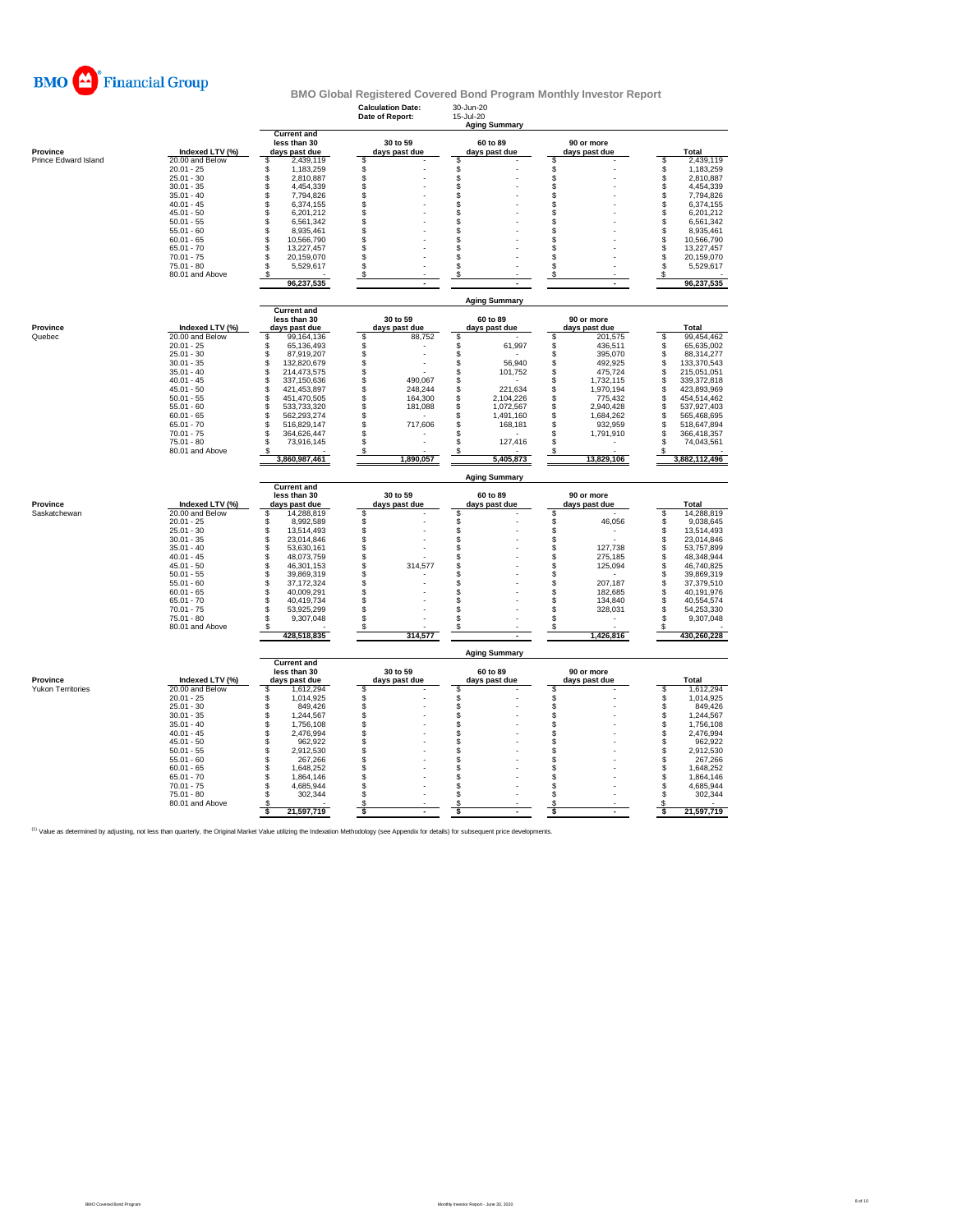

|                          |                                 |                                                     | <b>Calculation Date:</b><br>Date of Report: | 30-Jun-20<br>15-Jul-20<br><b>Aging Summary</b> |                                |                                   |  |
|--------------------------|---------------------------------|-----------------------------------------------------|---------------------------------------------|------------------------------------------------|--------------------------------|-----------------------------------|--|
| Province                 | Indexed LTV (%)                 | <b>Current and</b><br>less than 30<br>days past due | 30 to 59<br>days past due                   | 60 to 89<br>days past due                      | 90 or more<br>days past due    | Total                             |  |
| Prince Edward Island     | 20.00 and Below                 | 2,439,119<br>\$                                     | \$                                          | S                                              | \$                             | \$<br>2,439,119                   |  |
|                          | $20.01 - 25$                    | \$<br>1,183,259                                     | \$                                          | \$                                             | \$                             | \$<br>1,183,259                   |  |
|                          | $25.01 - 30$                    | \$<br>2,810,887                                     | \$                                          | \$                                             |                                | \$<br>2,810,887                   |  |
|                          | $30.01 - 35$<br>$35.01 - 40$    | \$<br>4,454,339<br>\$<br>7,794,826                  | \$<br>\$                                    | Ŝ<br>\$                                        | \$<br>\$                       | \$<br>4,454,339<br>Š<br>7,794,826 |  |
|                          | $40.01 - 45$                    | \$<br>6,374,155                                     | $\ddot{s}$                                  | \$                                             | \$                             | \$<br>6,374,155                   |  |
|                          | $45.01 - 50$                    | \$<br>6,201,212                                     | \$                                          | \$                                             | \$                             | \$<br>6,201,212                   |  |
|                          | $50.01 - 55$                    | \$<br>6,561,342                                     | \$                                          | \$                                             | \$                             | Ś<br>6,561,342                    |  |
|                          | $55.01 - 60$                    | \$<br>8,935,461                                     | \$                                          | \$                                             | \$                             | \$<br>8,935,461                   |  |
|                          | $60.01 - 65$                    | \$<br>10,566,790                                    | \$                                          | \$                                             | \$                             | 10,566,790                        |  |
|                          | $65.01 - 70$                    | \$<br>13,227,457                                    | \$                                          | \$                                             | \$                             | <b>998</b><br>13,227,457          |  |
|                          | $70.01 - 75$                    | \$<br>20,159,070                                    | \$                                          | \$                                             | \$                             | 20,159,070                        |  |
|                          | $75.01 - 80$                    | \$<br>5,529,617                                     | \$                                          | \$                                             | s                              | \$<br>5,529,617                   |  |
|                          | 80.01 and Above                 | \$<br>96,237,535                                    | \$                                          | \$                                             | \$                             | S<br>96,237,535                   |  |
|                          |                                 |                                                     |                                             |                                                |                                |                                   |  |
|                          |                                 | <b>Current and</b>                                  |                                             | <b>Aging Summary</b>                           |                                |                                   |  |
| Province                 | Indexed LTV (%)                 | less than 30<br>days past due                       | 30 to 59<br>days past due                   | 60 to 89                                       | 90 or more                     | Total                             |  |
| Quebec                   | 20.00 and Below                 | \$<br>99,164,136                                    | Ŝ<br>88.752                                 | days past due<br>Ŝ                             | days past due<br>\$<br>201.575 | S<br>99.454.462                   |  |
|                          | $20.01 - 25$                    | \$<br>65,136,493                                    | \$                                          | 61,997<br>\$                                   | \$<br>436,511                  | \$<br>65,635,002                  |  |
|                          | $25.01 - 30$                    | \$<br>87,919,207                                    | \$                                          | S                                              | \$<br>395,070                  | \$<br>88,314,277                  |  |
|                          | $30.01 - 35$                    | \$<br>132.820.679                                   | \$                                          | 56.940<br>S.                                   | \$<br>492.925                  | 133,370,543                       |  |
|                          | $35.01 - 40$                    | \$<br>214,473,575                                   | \$                                          | 101,752<br>\$                                  | \$<br>475,724                  | <b>998</b><br>215,051,051         |  |
|                          | $40.01 - 45$                    | \$<br>337,150,636                                   | \$<br>490,067                               | \$                                             | \$<br>1,732,115                | 339,372,818                       |  |
|                          | $45.01 - 50$                    | \$<br>421,453,897                                   | \$<br>248.244                               | \$<br>221,634                                  | \$<br>1,970,194                | 423,893,969                       |  |
|                          | $50.01 - 55$                    | \$<br>451,470,505                                   | \$<br>164,300                               | \$<br>2,104,226                                | \$<br>775,432                  | \$<br>454,514,462                 |  |
|                          | $55.01 - 60$                    | \$<br>533,733,320                                   | \$<br>181,088                               | 1,072,567<br>\$                                | \$<br>2,940,428                | \$<br>537,927,403                 |  |
|                          | $60.01 - 65$                    | \$<br>562,293,274                                   | \$                                          | \$<br>1,491,160                                | \$<br>1,684,262                | \$<br>565,468,695                 |  |
|                          | $65.01 - 70$                    | \$<br>516,829,147                                   | \$<br>717,606                               | 168,181<br>\$                                  | \$<br>932,959                  | s<br>S<br>518,647,894             |  |
|                          | $70.01 - 75$                    | \$<br>364,626,447                                   | \$                                          | S.                                             | \$<br>1,791,910                | 366,418,357                       |  |
|                          | $75.01 - 80$<br>80.01 and Above | \$<br>73,916,145<br>-S                              | \$<br>S                                     | \$<br>127,416                                  | \$<br>\$                       | ś<br>74,043,561<br>$\mathbb S$    |  |
|                          |                                 | 3,860,987,461                                       | 1,890,057                                   | 5,405,873                                      | 13,829,106                     | 3,882,112,496                     |  |
|                          |                                 | <b>Current and</b>                                  |                                             | <b>Aging Summary</b>                           |                                |                                   |  |
| Province                 | Indexed LTV (%)                 | less than 30<br>days past due                       | 30 to 59<br>days past due                   | 60 to 89<br>days past due                      | 90 or more<br>days past due    | Total                             |  |
| Saskatchewan             | 20.00 and Below                 | \$<br>14,288,819                                    | \$                                          | \$.                                            | \$                             | \$<br>14,288,819                  |  |
|                          | $20.01 - 25$                    | \$<br>8,992,589                                     | \$                                          | \$                                             | 46,056                         | \$<br>9,038,645                   |  |
|                          | $25.01 - 30$                    | \$<br>13,514,493                                    | \$                                          | \$                                             | \$                             | \$<br>13,514,493                  |  |
|                          | $30.01 - 35$                    | \$<br>23.014.846                                    | \$                                          | \$                                             | \$                             | \$<br>23,014,846                  |  |
|                          | $35.01 - 40$                    | \$<br>53,630,161                                    | \$                                          | S                                              | \$<br>127,738                  | s<br>S<br>53,757,899              |  |
|                          | $40.01 - 45$                    | \$<br>48,073,759                                    | \$                                          | \$                                             | \$<br>275,185                  | 48,348,944                        |  |
|                          | $45.01 - 50$                    | \$<br>46,301,153                                    | \$<br>314,577                               | \$                                             | \$<br>125,094                  | Ś<br>46,740,825                   |  |
|                          | $50.01 - 55$                    | s<br>39.869.319                                     | \$                                          | \$                                             | \$                             | \$<br>39.869.319                  |  |
|                          | $55.01 - 60$                    | \$<br>37, 172, 324                                  | \$                                          | \$                                             | \$<br>207,187                  | \$<br>37,379,510<br>S             |  |
|                          | $60.01 - 65$<br>$65.01 - 70$    | \$<br>40,009,291<br>\$<br>40,419,734                | \$<br>\$                                    | \$<br>S                                        | \$<br>182,685<br>\$<br>134,840 | 40,191,976<br>\$<br>40,554,574    |  |
|                          | $70.01 - 75$                    | \$<br>53,925,299                                    | \$                                          | S.                                             | \$<br>328,031                  | 54,253,330                        |  |
|                          | 75.01 - 80                      | \$<br>9,307,048                                     | \$                                          | \$                                             | \$                             | \$<br>9,307,048                   |  |
|                          | 80.01 and Above                 | \$<br>428,518,835                                   | S<br>314,577                                | £                                              | \$<br>1,426,816                | \$<br>430,260,228                 |  |
|                          |                                 |                                                     |                                             | <b>Aging Summary</b>                           |                                |                                   |  |
|                          |                                 | <b>Current and</b><br>less than 30                  | 30 to 59                                    | 60 to 89                                       | 90 or more                     |                                   |  |
| Province                 | Indexed LTV (%)                 | days past due                                       | days past due                               | days past due                                  | days past due                  | Total                             |  |
| <b>Yukon Territories</b> | 20.00 and Below                 | 1,612,294<br>\$                                     | \$                                          | S                                              | \$                             | 1,612,294<br>S                    |  |
|                          | $20.01 - 25$                    | \$<br>1,014,925                                     | \$                                          | \$                                             | \$                             | \$<br>1,014,925                   |  |
|                          | $25.01 - 30$                    | \$<br>849.426                                       | \$                                          | \$                                             | \$                             | \$<br>849.426                     |  |
|                          | $30.01 - 35$                    | \$<br>1,244,567                                     | \$                                          | \$                                             | \$                             | \$<br>1,244,567                   |  |
|                          | $35.01 - 40$                    | \$<br>1,756,108                                     | \$                                          | \$                                             | \$                             | $\mathbb S$<br>1,756,108          |  |
|                          | $40.01 - 45$                    | \$<br>2,476,994                                     | \$                                          | \$                                             | \$                             | \$<br>2.476.994                   |  |
|                          | $45.01 - 50$                    | \$<br>962,922                                       | \$                                          | \$                                             | \$                             | 962,922                           |  |
|                          | $50.01 - 55$                    | \$<br>2,912,530                                     | \$                                          | \$                                             | \$                             | $\ddot{\$}$<br>2,912,530          |  |
|                          | $55.01 - 60$                    | \$<br>267,266                                       | \$                                          | \$                                             | \$                             | \$<br>267,266                     |  |
|                          | $60.01 - 65$                    | \$<br>1,648,252                                     | \$                                          | \$                                             | \$                             | 1,648,252<br>$\dot{\$}$           |  |
|                          | $65.01 - 70$<br>$70.01 - 75$    | \$<br>1,864,146<br>4,685,944                        | \$                                          | \$                                             | \$                             | 1,864,146<br>4,685,944            |  |
|                          | $75.01 - 80$                    | \$<br>\$<br>302,344                                 | \$<br>\$                                    | S<br>S                                         | \$<br>\$                       | \$<br>S<br>302,344                |  |
|                          | 80.01 and Above                 | S                                                   |                                             |                                                | s                              | S                                 |  |
|                          |                                 | 21.597.719<br>s                                     |                                             |                                                | Ś                              | 21.597.719<br>Ś                   |  |

<sup>(1)</sup> Value as determined by adjusting, not less than quarterly, the Original Market Value utilizing the Indexation Methodology (see Appendix for details) for subsequent price developments.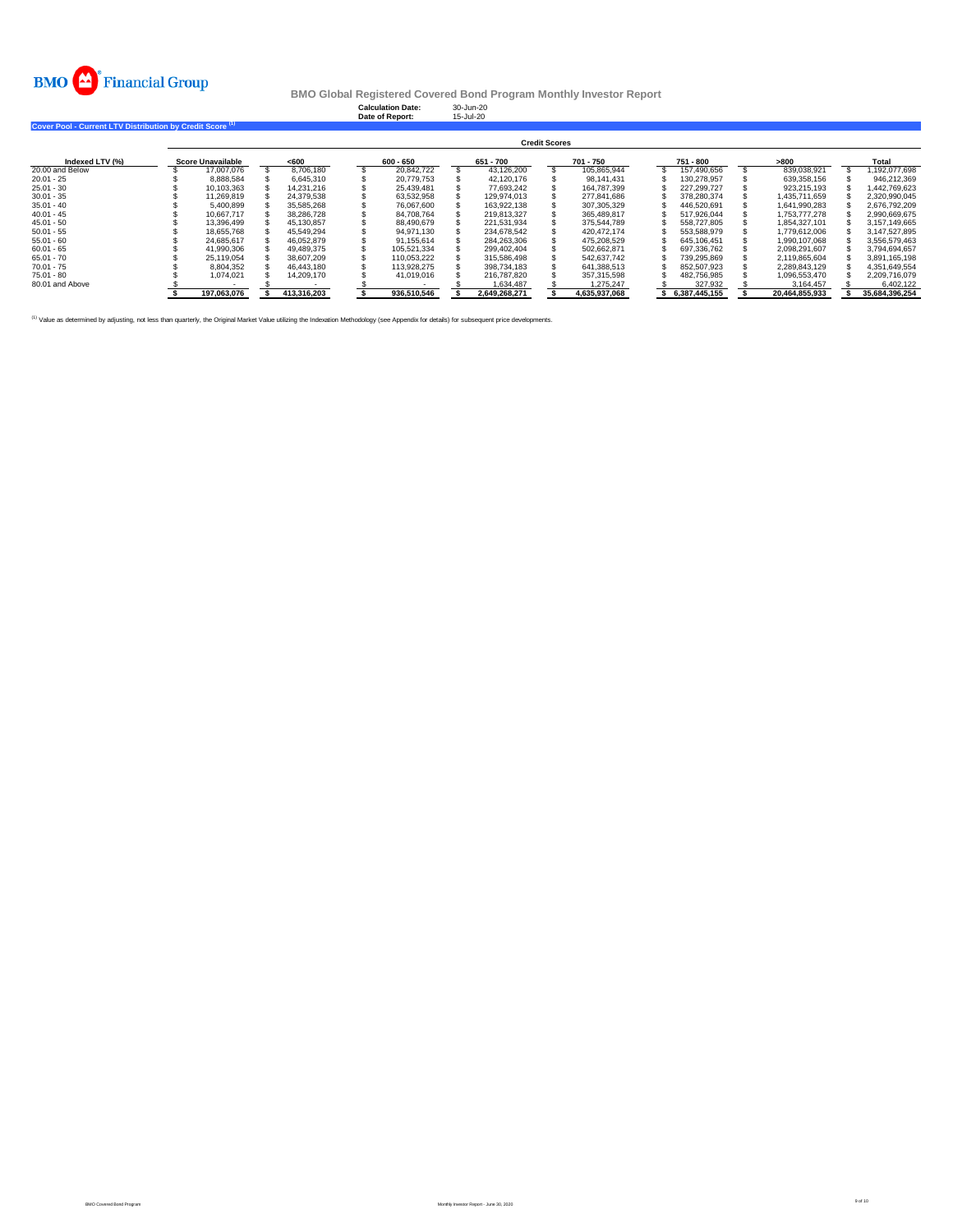

**Calculation Date:** 30-Jun-20 **Date of Report:** 15-Jul-20

**Cover Pool - Current LTV Distribution by Credit Score (1)** 

|                 | <b>Credit Scores</b> |                          |  |             |  |             |  |               |  |               |  |               |                |  |                |
|-----------------|----------------------|--------------------------|--|-------------|--|-------------|--|---------------|--|---------------|--|---------------|----------------|--|----------------|
| Indexed LTV (%) |                      | <b>Score Unavailable</b> |  | < 600       |  | 600 - 650   |  | 651 - 700     |  | 701 - 750     |  | 751 - 800     | >800           |  | Total          |
| 20,00 and Below |                      | 17.007.076               |  | 8.706.180   |  | 20.842.722  |  | 43.126.200    |  | 105.865.944   |  | 157.490.656   | 839.038.921    |  | .192.077.698   |
| $20.01 - 25$    |                      | 8.888.584                |  | 6.645.310   |  | 20.779.753  |  | 42.120.176    |  | 98.141.431    |  | 130.278.957   | 639.358.156    |  | 946.212.369    |
| $25.01 - 30$    |                      | 10.103.363               |  | 14.231.216  |  | 25.439.481  |  | 77.693.242    |  | 164.787.399   |  | 227.299.727   | 923.215.193    |  | .442.769.623   |
| $30.01 - 35$    |                      | 11.269.819               |  | 24.379.538  |  | 63.532.958  |  | 129.974.013   |  | 277.841.686   |  | 378.280.374   | 1.435.711.659  |  | 2.320.990.045  |
| $35.01 - 40$    |                      | 5.400.899                |  | 35.585.268  |  | 76.067.600  |  | 163.922.138   |  | 307.305.329   |  | 446.520.691   | 1.641.990.283  |  | 2.676.792.209  |
| $40.01 - 45$    |                      | 10.667.717               |  | 38,286,728  |  | 84.708.764  |  | 219.813.327   |  | 365.489.817   |  | 517.926.044   | 1.753.777.278  |  | 2.990.669.675  |
| $45.01 - 50$    |                      | 13.396.499               |  | 45.130.857  |  | 88.490.679  |  | 221.531.934   |  | 375.544.789   |  | 558,727,805   | 1.854.327.101  |  | 3.157.149.665  |
| $50.01 - 55$    |                      | 18.655.768               |  | 45.549.294  |  | 94.971.130  |  | 234.678.542   |  | 420.472.174   |  | 553.588.979   | 1.779.612.006  |  | 3.147.527.895  |
| $55.01 - 60$    |                      | 24.685.617               |  | 46.052.879  |  | 91.155.614  |  | 284.263.306   |  | 475.208.529   |  | 645.106.451   | 1.990.107.068  |  | 3.556.579.463  |
| $60.01 - 65$    |                      | 41.990.306               |  | 49.489.375  |  | 105.521.334 |  | 299.402.404   |  | 502.662.871   |  | 697.336.762   | 2.098.291.607  |  | 3.794.694.657  |
| $65.01 - 70$    |                      | 25.119.054               |  | 38,607.209  |  | 110.053.222 |  | 315.586.498   |  | 542.637.742   |  | 739.295.869   | 2.119.865.604  |  | 3.891.165.198  |
| $70.01 - 75$    |                      | 8.804.352                |  | 46.443.180  |  | 113.928.275 |  | 398.734.183   |  | 641.388.513   |  | 852.507.923   | 2.289.843.129  |  | 4.351.649.554  |
| $75.01 - 80$    |                      | 1.074.021                |  | 14.209.170  |  | 41.019.016  |  | 216,787,820   |  | 357.315.598   |  | 482.756.985   | 1.096.553.470  |  | 2.209.716.079  |
| 80.01 and Above |                      |                          |  |             |  |             |  | 1.634.487     |  | 1.275.247     |  | 327.932       | 3.164.457      |  | 6.402.122      |
|                 |                      | 197.063.076              |  | 413.316.203 |  | 936.510.546 |  | 2.649.268.271 |  | 4.635.937.068 |  | 6.387.445.155 | 20.464.855.933 |  | 35,684,396,254 |

(1) Value as determined by adjusting, not less than quarterly, the Original Market Value utilizing the Indexation Methodology (see Appendix for details) for subsequent price developments.